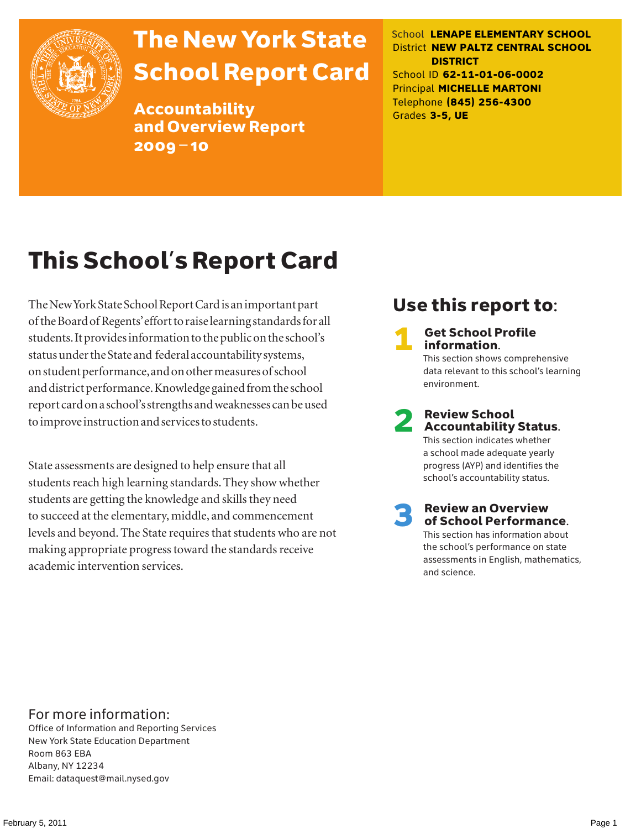

## The New York State School Report Card

Accountability and Overview Report 2009–10

School **LENAPE ELEMENTARY SCHOOL** District **NEW PALTZ CENTRAL SCHOOL DISTRICT** School ID **62-11-01-06-0002** Principal **MICHELLE MARTONI** Telephone **(845) 256-4300** Grades **3-5, UE**

## This School's Report Card

The New York State School Report Card is an important part of the Board of Regents' effort to raise learning standards for all students. It provides information to the public on the school's status under the State and federal accountability systems, on student performance, and on other measures of school and district performance. Knowledge gained from the school report card on a school's strengths and weaknesses can be used to improve instruction and services to students.

State assessments are designed to help ensure that all students reach high learning standards. They show whether students are getting the knowledge and skills they need to succeed at the elementary, middle, and commencement levels and beyond. The State requires that students who are not making appropriate progress toward the standards receive academic intervention services.

### Use this report to:

**Get School Profile** information. This section shows comprehensive data relevant to this school's learning environment.

# 2 Review School Accountability Status.

This section indicates whether a school made adequate yearly progress (AYP) and identifies the school's accountability status.

3 Review an Overview of School Performance. This section has information about

the school's performance on state assessments in English, mathematics, and science.

### For more information:

Office of Information and Reporting Services New York State Education Department Room 863 EBA Albany, NY 12234 Email: dataquest@mail.nysed.gov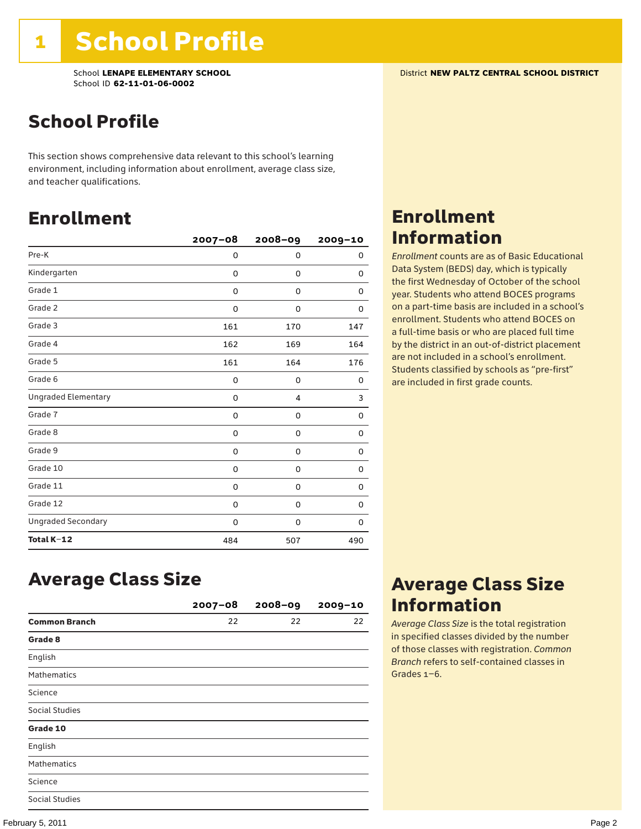### School Profile

This section shows comprehensive data relevant to this school's learning environment, including information about enrollment, average class size, and teacher qualifications.

### Enrollment

|                            | $2007 - 08$ | 2008-09 | 2009-10 |
|----------------------------|-------------|---------|---------|
| Pre-K                      | 0           | 0       | 0       |
| Kindergarten               | 0           | 0       | 0       |
| Grade 1                    | 0           | 0       | 0       |
| Grade 2                    | 0           | 0       | 0       |
| Grade 3                    | 161         | 170     | 147     |
| Grade 4                    | 162         | 169     | 164     |
| Grade 5                    | 161         | 164     | 176     |
| Grade 6                    | 0           | 0       | 0       |
| <b>Ungraded Elementary</b> | $\Omega$    | 4       | 3       |
| Grade 7                    | 0           | 0       | 0       |
| Grade 8                    | 0           | 0       | 0       |
| Grade 9                    | 0           | 0       | 0       |
| Grade 10                   | 0           | 0       | 0       |
| Grade 11                   | 0           | 0       | 0       |
| Grade 12                   | 0           | 0       | 0       |
| <b>Ungraded Secondary</b>  | 0           | 0       | 0       |
| Total K-12                 | 484         | 507     | 490     |

### Enrollment Information

*Enrollment* counts are as of Basic Educational Data System (BEDS) day, which is typically the first Wednesday of October of the school year. Students who attend BOCES programs on a part-time basis are included in a school's enrollment. Students who attend BOCES on a full-time basis or who are placed full time by the district in an out-of-district placement are not included in a school's enrollment. Students classified by schools as "pre-first" are included in first grade counts.

### Average Class Size

|                       | $2007 - 08$ | $2008 - 09$ | $2009 - 10$ |
|-----------------------|-------------|-------------|-------------|
| <b>Common Branch</b>  | 22          | 22          | 22          |
| Grade 8               |             |             |             |
| English               |             |             |             |
| <b>Mathematics</b>    |             |             |             |
| Science               |             |             |             |
| Social Studies        |             |             |             |
| Grade 10              |             |             |             |
| English               |             |             |             |
| <b>Mathematics</b>    |             |             |             |
| Science               |             |             |             |
| <b>Social Studies</b> |             |             |             |

### Average Class Size Information

*Average Class Size* is the total registration in specified classes divided by the number of those classes with registration. *Common Branch* refers to self-contained classes in Grades 1–6.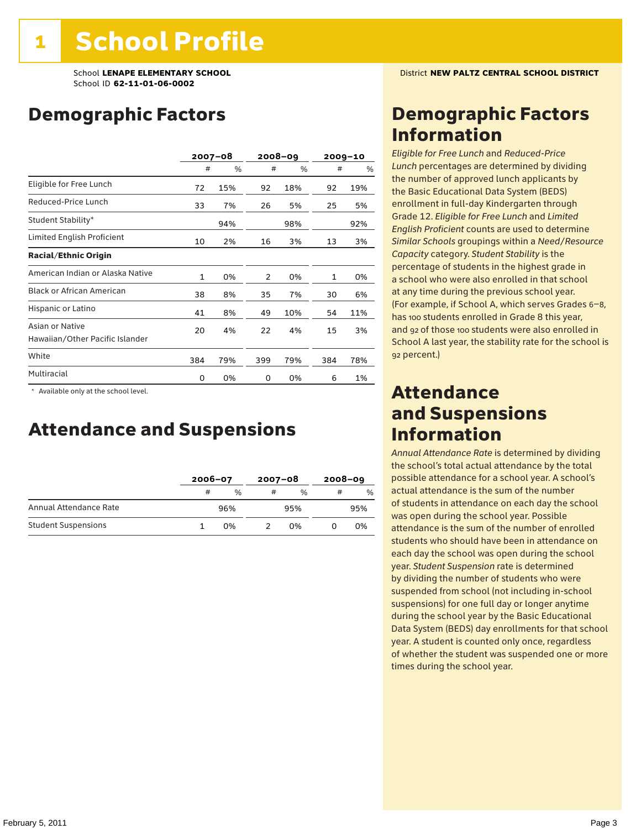### Demographic Factors

|                                                    |              | $2007 - 08$ |     | 2008-09 | $2009 - 10$ |     |
|----------------------------------------------------|--------------|-------------|-----|---------|-------------|-----|
|                                                    | #            | %           | #   | %       | #           | %   |
| Eligible for Free Lunch                            | 72           | 15%         | 92  | 18%     | 92          | 19% |
| Reduced-Price Lunch                                | 33           | 7%          | 26  | 5%      | 25          | 5%  |
| Student Stability*                                 |              | 94%         |     | 98%     |             | 92% |
| Limited English Proficient                         | 10           | 2%          | 16  | 3%      | 13          | 3%  |
| <b>Racial/Ethnic Origin</b>                        |              |             |     |         |             |     |
| American Indian or Alaska Native                   | $\mathbf{1}$ | 0%          | 2   | 0%      | 1           | 0%  |
| <b>Black or African American</b>                   | 38           | 8%          | 35  | 7%      | 30          | 6%  |
| Hispanic or Latino                                 | 41           | 8%          | 49  | 10%     | 54          | 11% |
| Asian or Native<br>Hawaiian/Other Pacific Islander | 20           | 4%          | 22  | 4%      | 15          | 3%  |
| White                                              | 384          | 79%         | 399 | 79%     | 384         | 78% |
| Multiracial                                        | 0            | 0%          | 0   | 0%      | 6           | 1%  |

 \* Available only at the school level.

### Attendance and Suspensions

|                            |   | $2006 - 07$   |   | $2007 - 08$   |   | $2008 - 09$ |  |
|----------------------------|---|---------------|---|---------------|---|-------------|--|
|                            | # | $\frac{0}{0}$ | # | $\frac{0}{6}$ | # | $\%$        |  |
| Annual Attendance Rate     |   | 96%           |   | 95%           |   | 95%         |  |
| <b>Student Suspensions</b> |   | በ%            |   | በ%            |   | 0%          |  |

### Demographic Factors Information

*Eligible for Free Lunch* and *Reduced*-*Price Lunch* percentages are determined by dividing the number of approved lunch applicants by the Basic Educational Data System (BEDS) enrollment in full-day Kindergarten through Grade 12. *Eligible for Free Lunch* and *Limited English Proficient* counts are used to determine *Similar Schools* groupings within a *Need*/*Resource Capacity* category. *Student Stability* is the percentage of students in the highest grade in a school who were also enrolled in that school at any time during the previous school year. (For example, if School A, which serves Grades 6–8, has 100 students enrolled in Grade 8 this year, and 92 of those 100 students were also enrolled in School A last year, the stability rate for the school is 92 percent.)

### Attendance and Suspensions Information

*Annual Attendance Rate* is determined by dividing the school's total actual attendance by the total possible attendance for a school year. A school's actual attendance is the sum of the number of students in attendance on each day the school was open during the school year. Possible attendance is the sum of the number of enrolled students who should have been in attendance on each day the school was open during the school year. *Student Suspension* rate is determined by dividing the number of students who were suspended from school (not including in-school suspensions) for one full day or longer anytime during the school year by the Basic Educational Data System (BEDS) day enrollments for that school year. A student is counted only once, regardless of whether the student was suspended one or more times during the school year.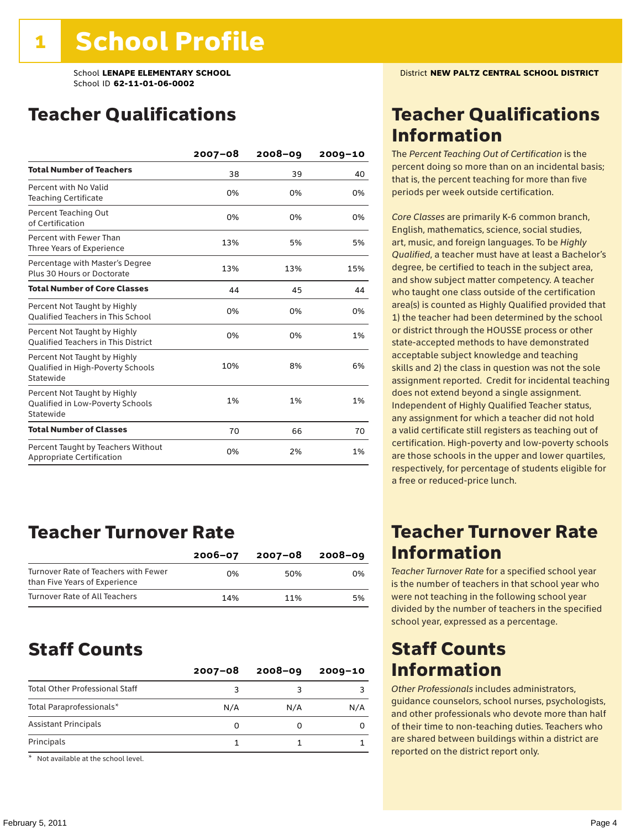### Teacher Qualifications

|                                                                                | $2007 - 08$ | 2008-09 | $2009 - 10$ |
|--------------------------------------------------------------------------------|-------------|---------|-------------|
| <b>Total Number of Teachers</b>                                                | 38          | 39      | 40          |
| Percent with No Valid<br><b>Teaching Certificate</b>                           | 0%          | 0%      | 0%          |
| Percent Teaching Out<br>of Certification                                       | 0%          | 0%      | 0%          |
| Percent with Fewer Than<br>Three Years of Experience                           | 13%         | 5%      | 5%          |
| Percentage with Master's Degree<br>Plus 30 Hours or Doctorate                  | 13%         | 13%     | 15%         |
| <b>Total Number of Core Classes</b>                                            | 44          | 45      | 44          |
| Percent Not Taught by Highly<br><b>Oualified Teachers in This School</b>       | 0%          | 0%      | 0%          |
| Percent Not Taught by Highly<br><b>Oualified Teachers in This District</b>     | 0%          | 0%      | 1%          |
| Percent Not Taught by Highly<br>Qualified in High-Poverty Schools<br>Statewide | 10%         | 8%      | 6%          |
| Percent Not Taught by Highly<br>Qualified in Low-Poverty Schools<br>Statewide  | 1%          | 1%      | 1%          |
| <b>Total Number of Classes</b>                                                 | 70          | 66      | 70          |
| Percent Taught by Teachers Without<br>Appropriate Certification                | 0%          | 2%      | 1%          |

### Teacher Turnover Rate

|                                                                       | $2006 - 07$ | 2007-08 | 2008-09 |
|-----------------------------------------------------------------------|-------------|---------|---------|
| Turnover Rate of Teachers with Fewer<br>than Five Years of Experience | በ%          | 50%     | 0%      |
| Turnover Rate of All Teachers                                         | 14%         | 11%     | 5%      |

### Staff Counts

|                                       | $2007 - 08$ | $2008 - 09$ | $2009 - 10$ |
|---------------------------------------|-------------|-------------|-------------|
| <b>Total Other Professional Staff</b> | ٩           |             |             |
| Total Paraprofessionals*              | N/A         | N/A         | N/A         |
| <b>Assistant Principals</b>           | Ω           |             |             |
| Principals                            |             |             |             |

\* Not available at the school level.

### Teacher Qualifications Information

The *Percent Teaching Out of Certification* is the percent doing so more than on an incidental basis; that is, the percent teaching for more than five periods per week outside certification.

*Core Classes* are primarily K-6 common branch, English, mathematics, science, social studies, art, music, and foreign languages. To be *Highly Qualified*, a teacher must have at least a Bachelor's degree, be certified to teach in the subject area, and show subject matter competency. A teacher who taught one class outside of the certification area(s) is counted as Highly Qualified provided that 1) the teacher had been determined by the school or district through the HOUSSE process or other state-accepted methods to have demonstrated acceptable subject knowledge and teaching skills and 2) the class in question was not the sole assignment reported. Credit for incidental teaching does not extend beyond a single assignment. Independent of Highly Qualified Teacher status, any assignment for which a teacher did not hold a valid certificate still registers as teaching out of certification. High-poverty and low-poverty schools are those schools in the upper and lower quartiles, respectively, for percentage of students eligible for a free or reduced-price lunch.

### Teacher Turnover Rate Information

*Teacher Turnover Rate* for a specified school year is the number of teachers in that school year who were not teaching in the following school year divided by the number of teachers in the specified school year, expressed as a percentage.

### Staff Counts Information

*Other Professionals* includes administrators, guidance counselors, school nurses, psychologists, and other professionals who devote more than half of their time to non-teaching duties. Teachers who are shared between buildings within a district are reported on the district report only.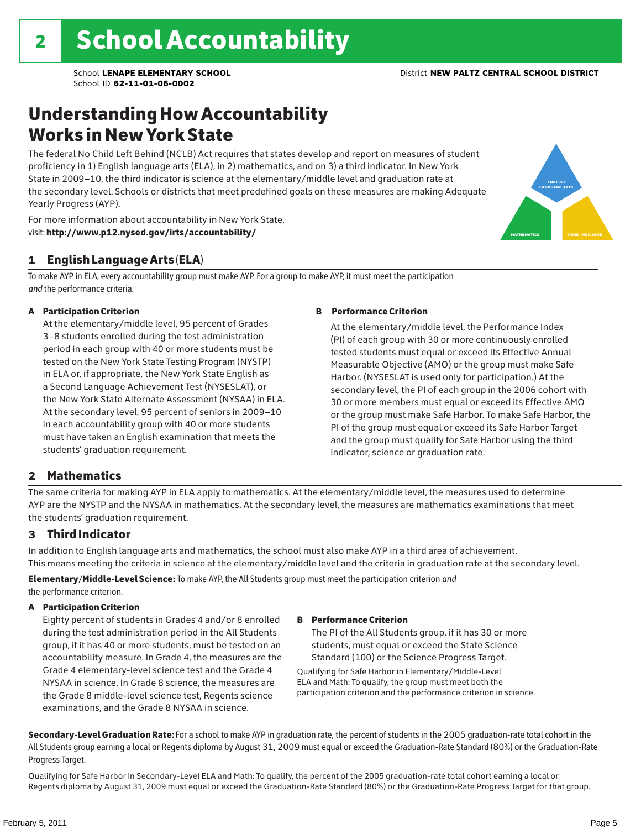### Understanding How Accountability Works in New York State

The federal No Child Left Behind (NCLB) Act requires that states develop and report on measures of student proficiency in 1) English language arts (ELA), in 2) mathematics, and on 3) a third indicator. In New York State in 2009–10, the third indicator is science at the elementary/middle level and graduation rate at the secondary level. Schools or districts that meet predefined goals on these measures are making Adequate Yearly Progress (AYP).

For more information about accountability in New York State, visit: http://www.p12.nysed.gov/irts/accountability/

### 1 English Language Arts (ELA)

To make AYP in ELA, every accountability group must make AYP. For a group to make AYP, it must meet the participation *and* the performance criteria.

#### A Participation Criterion

At the elementary/middle level, 95 percent of Grades 3–8 students enrolled during the test administration period in each group with 40 or more students must be tested on the New York State Testing Program (NYSTP) in ELA or, if appropriate, the New York State English as a Second Language Achievement Test (NYSESLAT), or the New York State Alternate Assessment (NYSAA) in ELA. At the secondary level, 95 percent of seniors in 2009–10 in each accountability group with 40 or more students must have taken an English examination that meets the students' graduation requirement.

#### B Performance Criterion

At the elementary/middle level, the Performance Index (PI) of each group with 30 or more continuously enrolled tested students must equal or exceed its Effective Annual Measurable Objective (AMO) or the group must make Safe Harbor. (NYSESLAT is used only for participation.) At the secondary level, the PI of each group in the 2006 cohort with 30 or more members must equal or exceed its Effective AMO or the group must make Safe Harbor. To make Safe Harbor, the PI of the group must equal or exceed its Safe Harbor Target and the group must qualify for Safe Harbor using the third indicator, science or graduation rate.

#### 2 Mathematics

The same criteria for making AYP in ELA apply to mathematics. At the elementary/middle level, the measures used to determine AYP are the NYSTP and the NYSAA in mathematics. At the secondary level, the measures are mathematics examinations that meet the students' graduation requirement.

#### 3 Third Indicator

In addition to English language arts and mathematics, the school must also make AYP in a third area of achievement. This means meeting the criteria in science at the elementary/middle level and the criteria in graduation rate at the secondary level.

Elementary/Middle-Level Science: To make AYP, the All Students group must meet the participation criterion *and* the performance criterion.

#### A Participation Criterion

Eighty percent of students in Grades 4 and/or 8 enrolled during the test administration period in the All Students group, if it has 40 or more students, must be tested on an accountability measure. In Grade 4, the measures are the Grade 4 elementary-level science test and the Grade 4 NYSAA in science. In Grade 8 science, the measures are the Grade 8 middle-level science test, Regents science examinations, and the Grade 8 NYSAA in science.

#### B Performance Criterion

The PI of the All Students group, if it has 30 or more students, must equal or exceed the State Science Standard (100) or the Science Progress Target.

Qualifying for Safe Harbor in Elementary/Middle-Level ELA and Math: To qualify, the group must meet both the participation criterion and the performance criterion in science.

Secondary-Level Graduation Rate: For a school to make AYP in graduation rate, the percent of students in the 2005 graduation-rate total cohort in the All Students group earning a local or Regents diploma by August 31, 2009 must equal or exceed the Graduation-Rate Standard (80%) or the Graduation-Rate Progress Target.

Qualifying for Safe Harbor in Secondary-Level ELA and Math: To qualify, the percent of the 2005 graduation-rate total cohort earning a local or Regents diploma by August 31, 2009 must equal or exceed the Graduation-Rate Standard (80%) or the Graduation-Rate Progress Target for that group.

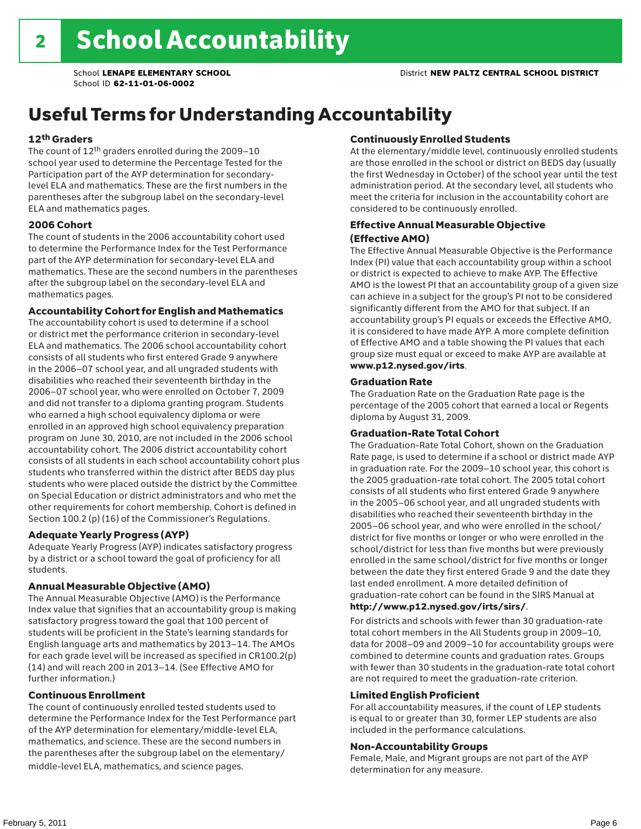### Useful Terms for Understanding Accountability

#### 12th Graders

The count of 12th graders enrolled during the 2009–10 school year used to determine the Percentage Tested for the Participation part of the AYP determination for secondarylevel ELA and mathematics. These are the first numbers in the parentheses after the subgroup label on the secondary-level ELA and mathematics pages.

#### 2006 Cohort

The count of students in the 2006 accountability cohort used to determine the Performance Index for the Test Performance part of the AYP determination for secondary-level ELA and mathematics. These are the second numbers in the parentheses after the subgroup label on the secondary-level ELA and mathematics pages.

#### Accountability Cohort for English and Mathematics

The accountability cohort is used to determine if a school or district met the performance criterion in secondary-level ELA and mathematics. The 2006 school accountability cohort consists of all students who first entered Grade 9 anywhere in the 2006–07 school year, and all ungraded students with disabilities who reached their seventeenth birthday in the 2006–07 school year, who were enrolled on October 7, 2009 and did not transfer to a diploma granting program. Students who earned a high school equivalency diploma or were enrolled in an approved high school equivalency preparation program on June 30, 2010, are not included in the 2006 school accountability cohort. The 2006 district accountability cohort consists of all students in each school accountability cohort plus students who transferred within the district after BEDS day plus students who were placed outside the district by the Committee on Special Education or district administrators and who met the other requirements for cohort membership. Cohort is defined in Section 100.2 (p) (16) of the Commissioner's Regulations.

#### Adequate Yearly Progress (AYP)

Adequate Yearly Progress (AYP) indicates satisfactory progress by a district or a school toward the goal of proficiency for all students.

#### Annual Measurable Objective (AMO)

The Annual Measurable Objective (AMO) is the Performance Index value that signifies that an accountability group is making satisfactory progress toward the goal that 100 percent of students will be proficient in the State's learning standards for English language arts and mathematics by 2013–14. The AMOs for each grade level will be increased as specified in CR100.2(p) (14) and will reach 200 in 2013–14. (See Effective AMO for further information.)

#### Continuous Enrollment

The count of continuously enrolled tested students used to determine the Performance Index for the Test Performance part of the AYP determination for elementary/middle-level ELA, mathematics, and science. These are the second numbers in the parentheses after the subgroup label on the elementary/ middle-level ELA, mathematics, and science pages.

#### Continuously Enrolled Students

At the elementary/middle level, continuously enrolled students are those enrolled in the school or district on BEDS day (usually the first Wednesday in October) of the school year until the test administration period. At the secondary level, all students who meet the criteria for inclusion in the accountability cohort are considered to be continuously enrolled.

#### Effective Annual Measurable Objective (Effective AMO)

The Effective Annual Measurable Objective is the Performance Index (PI) value that each accountability group within a school or district is expected to achieve to make AYP. The Effective AMO is the lowest PI that an accountability group of a given size can achieve in a subject for the group's PI not to be considered significantly different from the AMO for that subject. If an accountability group's PI equals or exceeds the Effective AMO, it is considered to have made AYP. A more complete definition of Effective AMO and a table showing the PI values that each group size must equal or exceed to make AYP are available at www.p12.nysed.gov/irts.

#### Graduation Rate

The Graduation Rate on the Graduation Rate page is the percentage of the 2005 cohort that earned a local or Regents diploma by August 31, 2009.

#### Graduation-Rate Total Cohort

The Graduation-Rate Total Cohort, shown on the Graduation Rate page, is used to determine if a school or district made AYP in graduation rate. For the 2009–10 school year, this cohort is the 2005 graduation-rate total cohort. The 2005 total cohort consists of all students who first entered Grade 9 anywhere in the 2005–06 school year, and all ungraded students with disabilities who reached their seventeenth birthday in the 2005–06 school year, and who were enrolled in the school/ district for five months or longer or who were enrolled in the school/district for less than five months but were previously enrolled in the same school/district for five months or longer between the date they first entered Grade 9 and the date they last ended enrollment. A more detailed definition of graduation-rate cohort can be found in the SIRS Manual at

#### http://www.p12.nysed.gov/irts/sirs/.

For districts and schools with fewer than 30 graduation-rate total cohort members in the All Students group in 2009–10, data for 2008–09 and 2009–10 for accountability groups were combined to determine counts and graduation rates. Groups with fewer than 30 students in the graduation-rate total cohort are not required to meet the graduation-rate criterion.

#### Limited English Proficient

For all accountability measures, if the count of LEP students is equal to or greater than 30, former LEP students are also included in the performance calculations.

#### Non-Accountability Groups

Female, Male, and Migrant groups are not part of the AYP determination for any measure.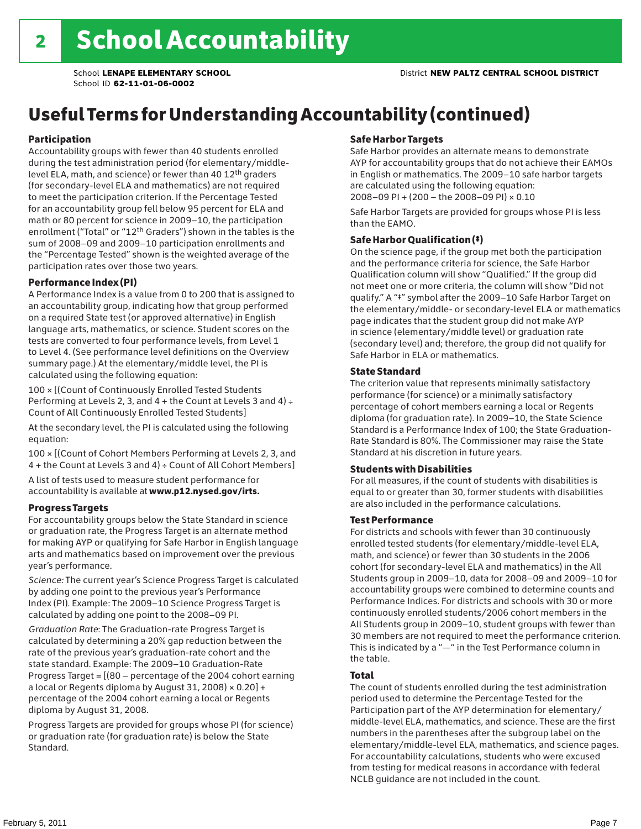## Useful Terms for Understanding Accountability (continued)

#### Participation

Accountability groups with fewer than 40 students enrolled during the test administration period (for elementary/middlelevel ELA, math, and science) or fewer than 40 12th graders (for secondary-level ELA and mathematics) are not required to meet the participation criterion. If the Percentage Tested for an accountability group fell below 95 percent for ELA and math or 80 percent for science in 2009–10, the participation enrollment ("Total" or "12th Graders") shown in the tables is the sum of 2008–09 and 2009–10 participation enrollments and the "Percentage Tested" shown is the weighted average of the participation rates over those two years.

#### Performance Index (PI)

A Performance Index is a value from 0 to 200 that is assigned to an accountability group, indicating how that group performed on a required State test (or approved alternative) in English language arts, mathematics, or science. Student scores on the tests are converted to four performance levels, from Level 1 to Level 4. (See performance level definitions on the Overview summary page.) At the elementary/middle level, the PI is calculated using the following equation:

100 × [(Count of Continuously Enrolled Tested Students Performing at Levels 2, 3, and  $4 +$  the Count at Levels 3 and  $4) \div$ Count of All Continuously Enrolled Tested Students]

At the secondary level, the PI is calculated using the following equation:

100 × [(Count of Cohort Members Performing at Levels 2, 3, and 4 + the Count at Levels 3 and 4) ÷ Count of All Cohort Members]

A list of tests used to measure student performance for accountability is available at www.p12.nysed.gov/irts.

#### Progress Targets

For accountability groups below the State Standard in science or graduation rate, the Progress Target is an alternate method for making AYP or qualifying for Safe Harbor in English language arts and mathematics based on improvement over the previous year's performance.

*Science:* The current year's Science Progress Target is calculated by adding one point to the previous year's Performance Index (PI). Example: The 2009–10 Science Progress Target is calculated by adding one point to the 2008–09 PI.

*Graduation Rate*: The Graduation-rate Progress Target is calculated by determining a 20% gap reduction between the rate of the previous year's graduation-rate cohort and the state standard. Example: The 2009–10 Graduation-Rate Progress Target = [(80 – percentage of the 2004 cohort earning a local or Regents diploma by August 31, 2008)  $\times$  0.20] + percentage of the 2004 cohort earning a local or Regents diploma by August 31, 2008.

Progress Targets are provided for groups whose PI (for science) or graduation rate (for graduation rate) is below the State Standard.

#### Safe Harbor Targets

Safe Harbor provides an alternate means to demonstrate AYP for accountability groups that do not achieve their EAMOs in English or mathematics. The 2009–10 safe harbor targets are calculated using the following equation: 2008–09 PI + (200 – the 2008–09 PI) × 0.10

Safe Harbor Targets are provided for groups whose PI is less than the EAMO.

#### Safe Harbor Qualification (‡)

On the science page, if the group met both the participation and the performance criteria for science, the Safe Harbor Qualification column will show "Qualified." If the group did not meet one or more criteria, the column will show "Did not qualify." A "‡" symbol after the 2009–10 Safe Harbor Target on the elementary/middle- or secondary-level ELA or mathematics page indicates that the student group did not make AYP in science (elementary/middle level) or graduation rate (secondary level) and; therefore, the group did not qualify for Safe Harbor in ELA or mathematics.

#### State Standard

The criterion value that represents minimally satisfactory performance (for science) or a minimally satisfactory percentage of cohort members earning a local or Regents diploma (for graduation rate). In 2009–10, the State Science Standard is a Performance Index of 100; the State Graduation-Rate Standard is 80%. The Commissioner may raise the State Standard at his discretion in future years.

#### Students with Disabilities

For all measures, if the count of students with disabilities is equal to or greater than 30, former students with disabilities are also included in the performance calculations.

#### Test Performance

For districts and schools with fewer than 30 continuously enrolled tested students (for elementary/middle-level ELA, math, and science) or fewer than 30 students in the 2006 cohort (for secondary-level ELA and mathematics) in the All Students group in 2009–10, data for 2008–09 and 2009–10 for accountability groups were combined to determine counts and Performance Indices. For districts and schools with 30 or more continuously enrolled students/2006 cohort members in the All Students group in 2009–10, student groups with fewer than 30 members are not required to meet the performance criterion. This is indicated by a "—" in the Test Performance column in the table.

#### Total

The count of students enrolled during the test administration period used to determine the Percentage Tested for the Participation part of the AYP determination for elementary/ middle-level ELA, mathematics, and science. These are the first numbers in the parentheses after the subgroup label on the elementary/middle-level ELA, mathematics, and science pages. For accountability calculations, students who were excused from testing for medical reasons in accordance with federal NCLB guidance are not included in the count.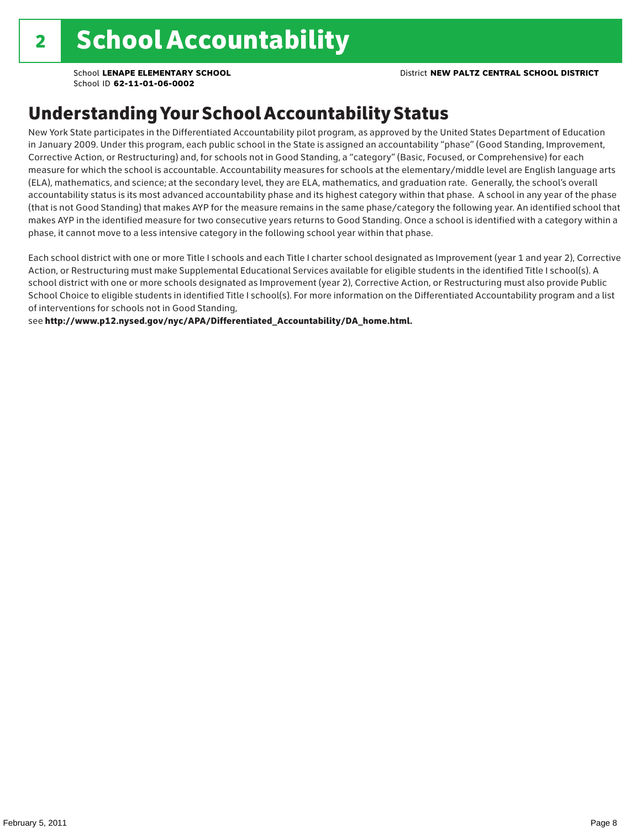School **LENAPE ELEMENTARY SCHOOL** District **NEW PALTZ CENTRAL SCHOOL DISTRICT**

School ID **62-11-01-06-0002**

### Understanding Your School Accountability Status

New York State participates in the Differentiated Accountability pilot program, as approved by the United States Department of Education in January 2009. Under this program, each public school in the State is assigned an accountability "phase" (Good Standing, Improvement, Corrective Action, or Restructuring) and, for schools not in Good Standing, a "category" (Basic, Focused, or Comprehensive) for each measure for which the school is accountable. Accountability measures for schools at the elementary/middle level are English language arts (ELA), mathematics, and science; at the secondary level, they are ELA, mathematics, and graduation rate. Generally, the school's overall accountability status is its most advanced accountability phase and its highest category within that phase. A school in any year of the phase (that is not Good Standing) that makes AYP for the measure remains in the same phase/category the following year. An identified school that makes AYP in the identified measure for two consecutive years returns to Good Standing. Once a school is identified with a category within a phase, it cannot move to a less intensive category in the following school year within that phase.

Each school district with one or more Title I schools and each Title I charter school designated as Improvement (year 1 and year 2), Corrective Action, or Restructuring must make Supplemental Educational Services available for eligible students in the identified Title I school(s). A school district with one or more schools designated as Improvement (year 2), Corrective Action, or Restructuring must also provide Public School Choice to eligible students in identified Title I school(s). For more information on the Differentiated Accountability program and a list of interventions for schools not in Good Standing,

see http://www.p12.nysed.gov/nyc/APA/Differentiated\_Accountability/DA\_home.html.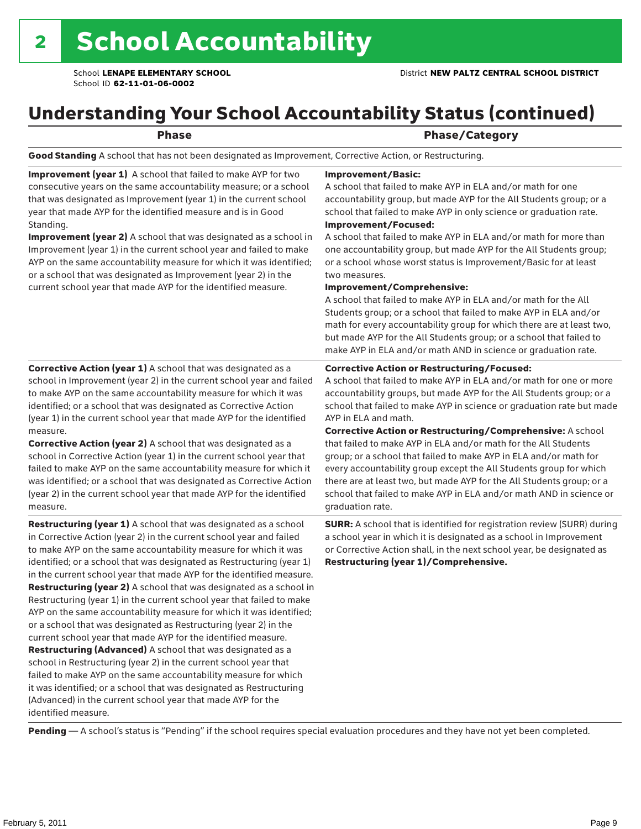### Understanding Your School Accountability Status (continued)

### Phase **Phase** Phase/Category

Good Standing A school that has not been designated as Improvement, Corrective Action, or Restructuring.

Improvement (year 1) A school that failed to make AYP for two consecutive years on the same accountability measure; or a school that was designated as Improvement (year 1) in the current school year that made AYP for the identified measure and is in Good Standing.

Improvement (year 2) A school that was designated as a school in Improvement (year 1) in the current school year and failed to make AYP on the same accountability measure for which it was identified; or a school that was designated as Improvement (year 2) in the current school year that made AYP for the identified measure.

#### Improvement/Basic:

A school that failed to make AYP in ELA and/or math for one accountability group, but made AYP for the All Students group; or a school that failed to make AYP in only science or graduation rate. Improvement/Focused:

A school that failed to make AYP in ELA and/or math for more than one accountability group, but made AYP for the All Students group; or a school whose worst status is Improvement/Basic for at least two measures.

#### Improvement/Comprehensive:

A school that failed to make AYP in ELA and/or math for the All Students group; or a school that failed to make AYP in ELA and/or math for every accountability group for which there are at least two, but made AYP for the All Students group; or a school that failed to make AYP in ELA and/or math AND in science or graduation rate.

#### Corrective Action or Restructuring/Focused:

A school that failed to make AYP in ELA and/or math for one or more accountability groups, but made AYP for the All Students group; or a school that failed to make AYP in science or graduation rate but made AYP in ELA and math.

measure. Corrective Action (year 2) A school that was designated as a school in Corrective Action (year 1) in the current school year that failed to make AYP on the same accountability measure for which it was identified; or a school that was designated as Corrective Action (year 2) in the current school year that made AYP for the identified

Corrective Action (year 1) A school that was designated as a school in Improvement (year 2) in the current school year and failed to make AYP on the same accountability measure for which it was identified; or a school that was designated as Corrective Action (year 1) in the current school year that made AYP for the identified

Restructuring (year 1) A school that was designated as a school in Corrective Action (year 2) in the current school year and failed to make AYP on the same accountability measure for which it was identified; or a school that was designated as Restructuring (year 1) in the current school year that made AYP for the identified measure. Restructuring (year 2) A school that was designated as a school in Restructuring (year 1) in the current school year that failed to make AYP on the same accountability measure for which it was identified; or a school that was designated as Restructuring (year 2) in the current school year that made AYP for the identified measure. Restructuring (Advanced) A school that was designated as a school in Restructuring (year 2) in the current school year that failed to make AYP on the same accountability measure for which it was identified; or a school that was designated as Restructuring (Advanced) in the current school year that made AYP for the identified measure.

Corrective Action or Restructuring/Comprehensive: A school that failed to make AYP in ELA and/or math for the All Students group; or a school that failed to make AYP in ELA and/or math for every accountability group except the All Students group for which there are at least two, but made AYP for the All Students group; or a school that failed to make AYP in ELA and/or math AND in science or graduation rate.

SURR: A school that is identified for registration review (SURR) during a school year in which it is designated as a school in Improvement or Corrective Action shall, in the next school year, be designated as Restructuring (year 1)/Comprehensive.

Pending - A school's status is "Pending" if the school requires special evaluation procedures and they have not yet been completed.

measure.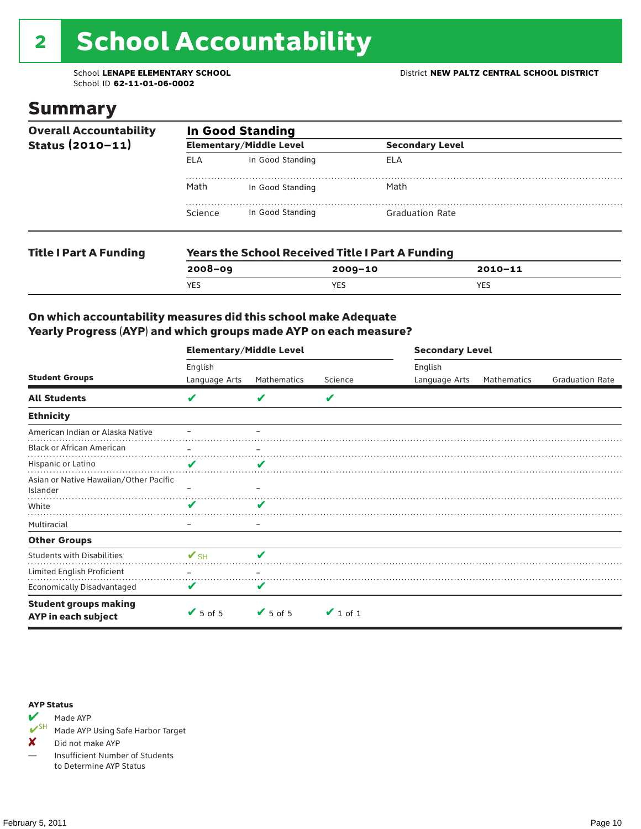# 2 School Accountability

School ID **62-11-01-06-0002**

### Summary

| <b>Overall Accountability</b><br>Status $(2010 - 11)$ | <b>In Good Standing</b> |                                                         |                        |  |  |  |
|-------------------------------------------------------|-------------------------|---------------------------------------------------------|------------------------|--|--|--|
|                                                       |                         | <b>Elementary/Middle Level</b>                          | <b>Secondary Level</b> |  |  |  |
|                                                       | ELA                     | In Good Standing                                        | ELA                    |  |  |  |
|                                                       | Math                    | In Good Standing                                        | Math                   |  |  |  |
|                                                       | Science                 | In Good Standing                                        | <b>Graduation Rate</b> |  |  |  |
| <b>Title I Part A Funding</b>                         |                         | <b>Years the School Received Title I Part A Funding</b> |                        |  |  |  |

**2008–09 2009–10 2010–11**

YES YES YES

#### On which accountability measures did this school make Adequate Yearly Progress (AYP) and which groups made AYP on each measure?

|                                                            | <b>Elementary/Middle Level</b> |                              |               |                          | <b>Secondary Level</b> |                        |  |  |
|------------------------------------------------------------|--------------------------------|------------------------------|---------------|--------------------------|------------------------|------------------------|--|--|
| <b>Student Groups</b>                                      | English<br>Language Arts       | Mathematics                  | Science       | English<br>Language Arts | Mathematics            | <b>Graduation Rate</b> |  |  |
| <b>All Students</b>                                        | V                              |                              | V             |                          |                        |                        |  |  |
| <b>Ethnicity</b>                                           |                                |                              |               |                          |                        |                        |  |  |
| American Indian or Alaska Native                           |                                |                              |               |                          |                        |                        |  |  |
| <b>Black or African American</b>                           | -                              | -                            |               |                          |                        |                        |  |  |
| Hispanic or Latino                                         | V                              | v                            |               |                          |                        |                        |  |  |
| Asian or Native Hawaiian/Other Pacific<br>Islander         |                                |                              |               |                          |                        |                        |  |  |
| White                                                      | V                              |                              |               |                          |                        |                        |  |  |
| Multiracial                                                |                                | -                            |               |                          |                        |                        |  |  |
| <b>Other Groups</b>                                        |                                |                              |               |                          |                        |                        |  |  |
| <b>Students with Disabilities</b>                          | $\mathbf{v}_{\text{SH}}$       | v                            |               |                          |                        |                        |  |  |
| Limited English Proficient                                 |                                |                              |               |                          |                        |                        |  |  |
| Economically Disadvantaged                                 | V                              | V                            |               |                          |                        |                        |  |  |
| <b>Student groups making</b><br><b>AYP</b> in each subject | $\sqrt{5}$ of 5                | $\blacktriangleright$ 5 of 5 | $\vee$ 1 of 1 |                          |                        |                        |  |  |

#### AYP Status



Made AYP Using Safe Harbor Target

✘ Did not make AYP

— Insufficient Number of Students to Determine AYP Status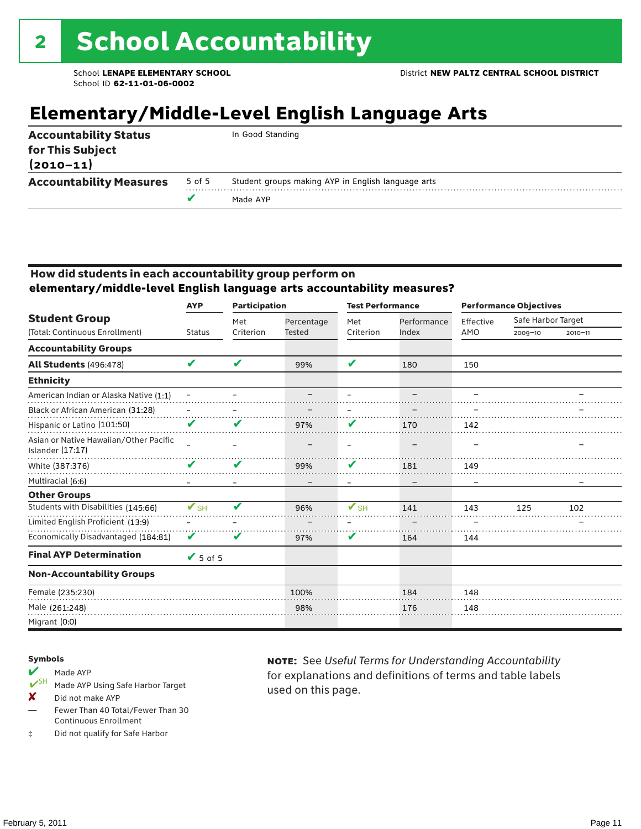### **Elementary/Middle-Level English Language Arts**

| <b>Accountability Measures</b>    | 5 of 5 | Student groups making AYP in English language arts<br>Made AYP |
|-----------------------------------|--------|----------------------------------------------------------------|
| for This Subject<br>$(2010 - 11)$ |        |                                                                |
| <b>Accountability Status</b>      |        | In Good Standing                                               |

#### How did students in each accountability group perform on **elementary/middle-level English language arts accountability measures?**

|                                                                   | <b>Participation</b><br><b>AYP</b> |           |               | <b>Test Performance</b> |             | <b>Performance Objectives</b> |                    |             |
|-------------------------------------------------------------------|------------------------------------|-----------|---------------|-------------------------|-------------|-------------------------------|--------------------|-------------|
| <b>Student Group</b>                                              |                                    | Met       | Percentage    | Met                     | Performance | Effective                     | Safe Harbor Target |             |
| (Total: Continuous Enrollment)                                    | <b>Status</b>                      | Criterion | <b>Tested</b> | Criterion               | Index       | AMO                           | $2009 - 10$        | $2010 - 11$ |
| <b>Accountability Groups</b>                                      |                                    |           |               |                         |             |                               |                    |             |
| <b>All Students (496:478)</b>                                     | V                                  | V         | 99%           | ✔                       | 180         | 150                           |                    |             |
| <b>Ethnicity</b>                                                  |                                    |           |               |                         |             |                               |                    |             |
| American Indian or Alaska Native (1:1)                            |                                    |           |               |                         |             |                               |                    |             |
| Black or African American (31:28)                                 |                                    |           |               |                         |             |                               |                    |             |
| Hispanic or Latino (101:50)                                       | V                                  | v         | 97%           | V                       | 170         | 142                           |                    |             |
| Asian or Native Hawaiian/Other Pacific<br><b>Islander (17:17)</b> |                                    |           |               |                         |             |                               |                    |             |
| White (387:376)                                                   | V                                  | V         | 99%           | V                       | 181         | 149                           |                    |             |
| Multiracial (6:6)                                                 |                                    |           |               |                         |             |                               |                    |             |
| <b>Other Groups</b>                                               |                                    |           |               |                         |             |                               |                    |             |
| Students with Disabilities (145:66)                               | $\mathbf{V}_{\text{SH}}$           | V         | 96%           | $V$ SH                  | 141         | 143                           | 125                | 102         |
| Limited English Proficient (13:9)                                 |                                    |           |               |                         |             |                               |                    |             |
| Economically Disadvantaged (184:81)                               | V                                  | V         | 97%           | V                       | 164         | 144                           |                    |             |
| <b>Final AYP Determination</b>                                    | $\sqrt{5}$ of 5                    |           |               |                         |             |                               |                    |             |
| <b>Non-Accountability Groups</b>                                  |                                    |           |               |                         |             |                               |                    |             |
| Female (235:230)                                                  |                                    |           | 100%          |                         | 184         | 148                           |                    |             |
| Male (261:248)                                                    |                                    |           | 98%           |                         | 176         | 148                           |                    |             |
| Migrant (0:0)                                                     |                                    |           |               |                         |             |                               |                    |             |

#### Symbols

- Made AYP<br> **V**SH Made AVP Made AYP Using Safe Harbor Target
- X Did not make AYP
- Fewer Than 40 Total/Fewer Than 30 Continuous Enrollment
- ‡ Did not qualify for Safe Harbor

note: See *Useful Terms for Understanding Accountability*  for explanations and definitions of terms and table labels used on this page.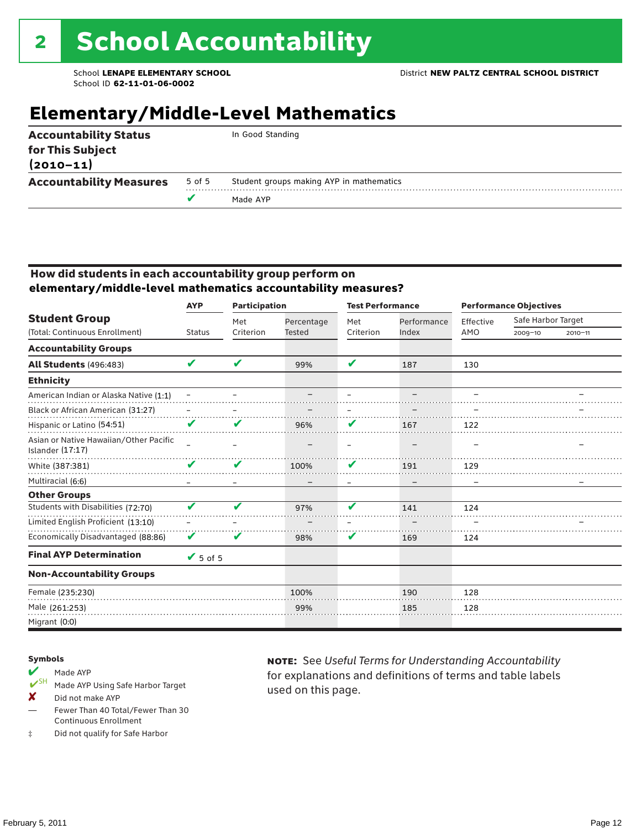### **Elementary/Middle-Level Mathematics**

| <b>Accountability Status</b><br>for This Subject<br>$(2010 - 11)$ |        | In Good Standing                         |
|-------------------------------------------------------------------|--------|------------------------------------------|
| <b>Accountability Measures</b>                                    | 5 of 5 | Student groups making AYP in mathematics |
|                                                                   |        | Made AYP                                 |
|                                                                   |        |                                          |

#### How did students in each accountability group perform on **elementary/middle-level mathematics accountability measures?**

|                                                            | <b>Participation</b><br><b>AYP</b> |           |               | <b>Test Performance</b>    |             | <b>Performance Objectives</b> |                    |             |
|------------------------------------------------------------|------------------------------------|-----------|---------------|----------------------------|-------------|-------------------------------|--------------------|-------------|
| <b>Student Group</b>                                       |                                    | Met       | Percentage    | Met                        | Performance | Effective                     | Safe Harbor Target |             |
| (Total: Continuous Enrollment)                             | <b>Status</b>                      | Criterion | <b>Tested</b> | Criterion                  | Index       | AMO                           | $2009 - 10$        | $2010 - 11$ |
| <b>Accountability Groups</b>                               |                                    |           |               |                            |             |                               |                    |             |
| <b>All Students (496:483)</b>                              | V                                  | V         | 99%           | $\boldsymbol{\mathcal{L}}$ | 187         | 130                           |                    |             |
| <b>Ethnicity</b>                                           |                                    |           |               |                            |             |                               |                    |             |
| American Indian or Alaska Native (1:1)                     |                                    |           |               |                            |             |                               |                    |             |
| Black or African American (31:27)                          |                                    |           |               |                            |             |                               |                    |             |
| Hispanic or Latino (54:51)                                 | V                                  | v         | 96%           | V                          | 167         | 122                           |                    |             |
| Asian or Native Hawaiian/Other Pacific<br>Islander (17:17) |                                    |           |               |                            |             |                               |                    |             |
| White (387:381)                                            | V                                  | V         | 100%          | V                          | 191         | 129                           |                    |             |
| Multiracial (6:6)                                          |                                    |           |               |                            |             |                               |                    |             |
| <b>Other Groups</b>                                        |                                    |           |               |                            |             |                               |                    |             |
| Students with Disabilities (72:70)                         | V                                  | V         | 97%           | V                          | 141         | 124                           |                    |             |
| Limited English Proficient (13:10)                         |                                    |           |               |                            |             |                               |                    |             |
| Economically Disadvantaged (88:86)                         | V                                  | V         | 98%           | V                          | 169         | 124                           |                    |             |
| <b>Final AYP Determination</b>                             | $\sqrt{5}$ of 5                    |           |               |                            |             |                               |                    |             |
| <b>Non-Accountability Groups</b>                           |                                    |           |               |                            |             |                               |                    |             |
| Female (235:230)                                           |                                    |           | 100%          |                            | 190         | 128                           |                    |             |
| Male (261:253)                                             |                                    |           | 99%           |                            | 185         | 128                           |                    |             |
| Migrant (0:0)                                              |                                    |           |               |                            |             |                               |                    |             |

#### Symbols

- Made AYP<br> **V**SH Made AVP Made AYP Using Safe Harbor Target
- X Did not make AYP
- Fewer Than 40 Total/Fewer Than 30 Continuous Enrollment
- ‡ Did not qualify for Safe Harbor

note: See *Useful Terms for Understanding Accountability*  for explanations and definitions of terms and table labels used on this page.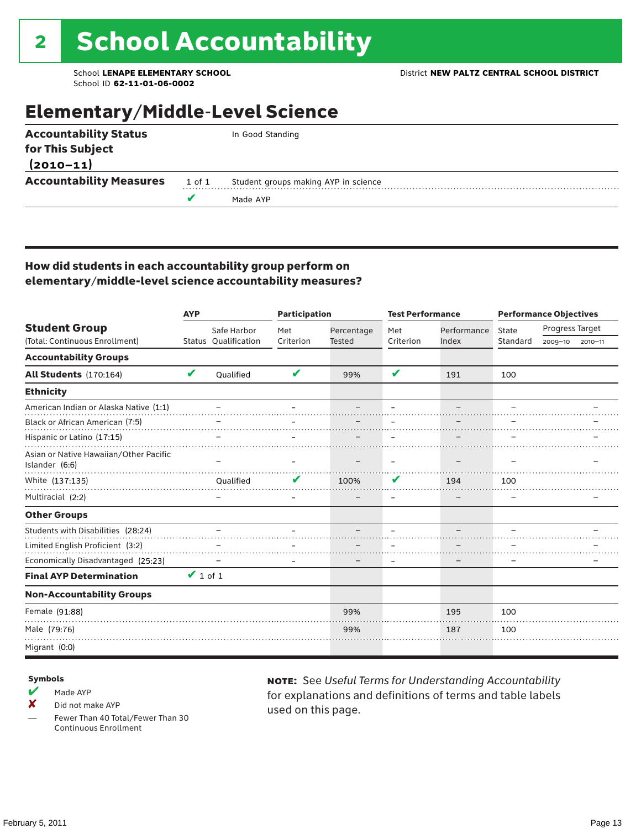### Elementary/Middle-Level Science

| <b>Accountability Status</b>   |        | In Good Standing                     |
|--------------------------------|--------|--------------------------------------|
| for This Subject               |        |                                      |
| $(2010 - 11)$                  |        |                                      |
| <b>Accountability Measures</b> | 1 of 1 | Student groups making AYP in science |
|                                |        | Made AYP                             |
|                                |        |                                      |

#### How did students in each accountability group perform on elementary/middle-level science accountability measures?

|                                                          | <b>AYP</b>    |                      | <b>Participation</b> |               | <b>Test Performance</b> |             | <b>Performance Objectives</b> |                 |             |
|----------------------------------------------------------|---------------|----------------------|----------------------|---------------|-------------------------|-------------|-------------------------------|-----------------|-------------|
| <b>Student Group</b>                                     |               | Safe Harbor          | Met                  | Percentage    | Met                     | Performance | State                         | Progress Target |             |
| (Total: Continuous Enrollment)                           |               | Status Qualification | Criterion            | <b>Tested</b> | Criterion               | Index       | Standard                      | 2009-10         | $2010 - 11$ |
| <b>Accountability Groups</b>                             |               |                      |                      |               |                         |             |                               |                 |             |
| <b>All Students</b> (170:164)                            | V             | Oualified            | V                    | 99%           | V                       | 191         | 100                           |                 |             |
| <b>Ethnicity</b>                                         |               |                      |                      |               |                         |             |                               |                 |             |
| American Indian or Alaska Native (1:1)                   |               |                      |                      |               |                         |             |                               |                 |             |
| Black or African American (7:5)                          |               |                      |                      |               |                         |             |                               |                 |             |
| Hispanic or Latino (17:15)                               |               |                      |                      |               |                         |             |                               |                 |             |
| Asian or Native Hawaiian/Other Pacific<br>Islander (6:6) |               |                      |                      |               |                         |             |                               |                 |             |
| White (137:135)                                          |               | Oualified            |                      | 100%          | V                       | 194         | 100                           |                 |             |
| Multiracial (2:2)                                        |               |                      |                      |               |                         |             |                               |                 |             |
| <b>Other Groups</b>                                      |               |                      |                      |               |                         |             |                               |                 |             |
| Students with Disabilities (28:24)                       |               |                      |                      |               |                         |             |                               |                 |             |
| Limited English Proficient (3:2)                         |               |                      |                      |               |                         |             |                               |                 |             |
| Economically Disadvantaged (25:23)                       |               |                      |                      |               |                         |             |                               |                 |             |
| <b>Final AYP Determination</b>                           | $\vee$ 1 of 1 |                      |                      |               |                         |             |                               |                 |             |
| <b>Non-Accountability Groups</b>                         |               |                      |                      |               |                         |             |                               |                 |             |
| Female (91:88)                                           |               |                      |                      | 99%           |                         | 195         | 100                           |                 |             |
| Male (79:76)                                             |               |                      |                      | 99%           |                         | 187         | 100                           |                 |             |
| Migrant (0:0)                                            |               |                      |                      |               |                         |             |                               |                 |             |

#### Symbols

- $M$  Made AYP
- X Did not make AYP

Fewer Than 40 Total/Fewer Than 30 Continuous Enrollment

note: See *Useful Terms for Understanding Accountability*  for explanations and definitions of terms and table labels used on this page.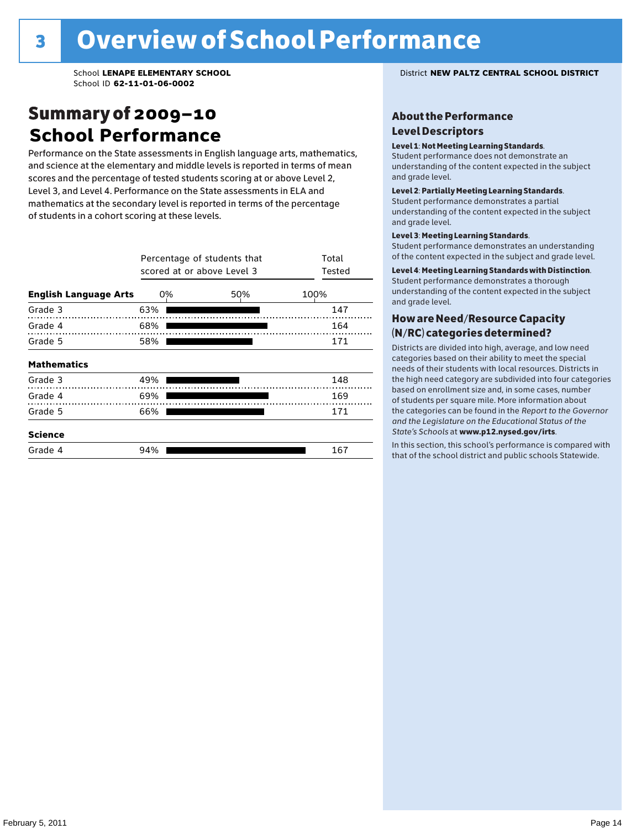### Summary of 2009–10 **School Performance**

Performance on the State assessments in English language arts, mathematics, and science at the elementary and middle levels is reported in terms of mean scores and the percentage of tested students scoring at or above Level 2, Level 3, and Level 4. Performance on the State assessments in ELA and mathematics at the secondary level is reported in terms of the percentage of students in a cohort scoring at these levels.

|                              |     | Percentage of students that<br>scored at or above Level 3 |      |  |  |  |  |  |
|------------------------------|-----|-----------------------------------------------------------|------|--|--|--|--|--|
| <b>English Language Arts</b> | 0%  | 50%                                                       | 100% |  |  |  |  |  |
| Grade 3                      | 63% |                                                           | 147  |  |  |  |  |  |
| Grade 4                      | 68% |                                                           | 164  |  |  |  |  |  |
| Grade 5                      | 58% |                                                           | 171  |  |  |  |  |  |
| <b>Mathematics</b>           |     |                                                           |      |  |  |  |  |  |
| Grade 3                      | 49% |                                                           | 148  |  |  |  |  |  |
| Grade 4                      | 69% |                                                           | 169  |  |  |  |  |  |
| Grade 5                      | 66% |                                                           | 171  |  |  |  |  |  |
| <b>Science</b>               |     |                                                           |      |  |  |  |  |  |
| Grade 4                      | 94% |                                                           | 167  |  |  |  |  |  |

School **LENAPE ELEMENTARY SCHOOL** District **NEW PALTZ CENTRAL SCHOOL DISTRICT**

#### About the Performance Level Descriptors

#### Level 1: Not Meeting Learning Standards.

Student performance does not demonstrate an understanding of the content expected in the subject and grade level.

#### Level 2: Partially Meeting Learning Standards.

Student performance demonstrates a partial understanding of the content expected in the subject and grade level.

#### Level 3: Meeting Learning Standards.

Student performance demonstrates an understanding of the content expected in the subject and grade level.

#### Level 4: Meeting Learning Standards with Distinction.

Student performance demonstrates a thorough understanding of the content expected in the subject and grade level.

#### How are Need/Resource Capacity (N/RC) categories determined?

Districts are divided into high, average, and low need categories based on their ability to meet the special needs of their students with local resources. Districts in the high need category are subdivided into four categories based on enrollment size and, in some cases, number of students per square mile. More information about the categories can be found in the *Report to the Governor and the Legislature on the Educational Status of the*  State's Schools at www.p12.nysed.gov/irts.

In this section, this school's performance is compared with<br>that of the school district and multigazine also taken idea In this section, this school's performance is compared that of the school district and public schools Statewide.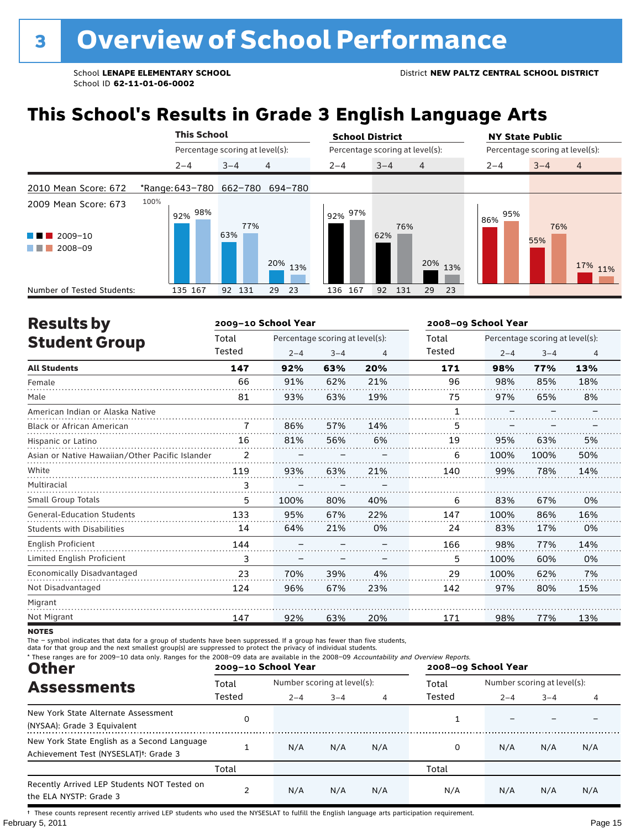## **This School's Results in Grade 3 English Language Arts**

|                                                       |      |         | <b>This School</b> |           |                                 | <b>School District</b>          |            |                | <b>NY State Public</b>          |            |                |
|-------------------------------------------------------|------|---------|--------------------|-----------|---------------------------------|---------------------------------|------------|----------------|---------------------------------|------------|----------------|
|                                                       |      |         |                    |           | Percentage scoring at level(s): | Percentage scoring at level(s): |            |                | Percentage scoring at level(s): |            |                |
|                                                       |      | $2 - 4$ |                    | $3 - 4$   | $\overline{4}$                  | $2 - 4$                         | $3 - 4$    | $\overline{4}$ | $2 - 4$                         | $3 - 4$    | $\overline{4}$ |
| 2010 Mean Score: 672                                  |      |         |                    |           | *Range: 643-780 662-780 694-780 |                                 |            |                |                                 |            |                |
| 2009 Mean Score: 673<br>2009-10<br>a sa na<br>2008-09 | 100% | 92% 98% |                    | 63%       | 77%                             | 92% 97%                         | 76%<br>62% |                | 95%<br>86%                      | 76%<br>55% |                |
|                                                       |      |         |                    |           | 20% 13%                         |                                 |            | 20%<br>13%     |                                 |            | 17% 11%        |
| Number of Tested Students:                            |      | 135 167 |                    | 131<br>92 | 23<br>29                        | 136 167                         | 92<br>131  | 29<br>23       |                                 |            |                |

| <b>Results by</b>                               |                | 2009-10 School Year |                                 |     | 2008-09 School Year |         |                                 |                |
|-------------------------------------------------|----------------|---------------------|---------------------------------|-----|---------------------|---------|---------------------------------|----------------|
| <b>Student Group</b>                            | Total          |                     | Percentage scoring at level(s): |     | Total               |         | Percentage scoring at level(s): |                |
|                                                 | Tested         | $2 - 4$             | $3 - 4$                         | 4   | Tested              | $2 - 4$ | $3 - 4$                         | $\overline{4}$ |
| <b>All Students</b>                             | 147            | 92%                 | 63%                             | 20% | 171                 | 98%     | 77%                             | 13%            |
| Female                                          | 66             | 91%                 | 62%                             | 21% | 96                  | 98%     | 85%                             | 18%            |
| Male                                            | 81             | 93%                 | 63%                             | 19% | 75                  | 97%     | 65%                             | 8%             |
| American Indian or Alaska Native                |                |                     |                                 |     |                     |         |                                 |                |
| <b>Black or African American</b>                | 7              | 86%                 | 57%                             | 14% | 5                   |         |                                 |                |
| Hispanic or Latino                              | 16             | 81%                 | 56%                             | 6%  | 19                  | 95%     | 63%                             | 5%             |
| Asian or Native Hawaiian/Other Pacific Islander | $\overline{2}$ |                     |                                 |     | 6                   | 100%    | 100%                            | 50%            |
| White                                           | 119            | 93%                 | 63%                             | 21% | 140                 | 99%     | 78%                             | 14%            |
| Multiracial                                     | 3              |                     |                                 |     |                     |         |                                 |                |
| <b>Small Group Totals</b>                       | 5              | 100%                | 80%                             | 40% | 6                   | 83%     | 67%                             | 0%             |
| <b>General-Education Students</b>               | 133            | 95%                 | 67%                             | 22% | 147                 | 100%    | 86%                             | 16%            |
| <b>Students with Disabilities</b>               | 14             | 64%                 | 21%                             | 0%  | 24                  | 83%     | 17%                             | 0%             |
| English Proficient                              | 144            |                     |                                 |     | 166                 | 98%     | 77%                             | 14%            |
| Limited English Proficient                      | 3              |                     |                                 |     | 5.                  | 100%    | 60%                             | 0%             |
| Economically Disadvantaged                      | 23             | 70%                 | 39%                             | 4%  | 29                  | 100%    | 62%                             | 7%             |
| Not Disadvantaged                               | 124            | 96%                 | 67%                             | 23% | 142                 | 97%     | 80%                             | 15%            |
| Migrant                                         |                |                     |                                 |     |                     |         |                                 |                |
| Not Migrant                                     | 147            | 92%                 | 63%                             | 20% | 171                 | 98%     | 77%                             | 13%            |

**NOTES** 

The – symbol indicates that data for a group of students have been suppressed. If a group has fewer than five students,<br>data for that group and the next smallest group(s) are suppressed to protect the privacy of individual

| * These ranges are for 2009-10 data only. Ranges for the 2008-09 data are available in the 2008-09 Accountability and Overview Reports.<br><b>Other</b> |        | 2009-10 School Year         |         |     | 2008-09 School Year |         |                             |     |  |
|---------------------------------------------------------------------------------------------------------------------------------------------------------|--------|-----------------------------|---------|-----|---------------------|---------|-----------------------------|-----|--|
| <b>Assessments</b>                                                                                                                                      | Total  | Number scoring at level(s): |         |     | Total               |         | Number scoring at level(s): |     |  |
|                                                                                                                                                         | Tested | $2 - 4$                     | $3 - 4$ | 4   | Tested              | $2 - 4$ | $3 - 4$                     |     |  |
| New York State Alternate Assessment<br>(NYSAA): Grade 3 Equivalent                                                                                      | 0      |                             |         |     |                     |         |                             |     |  |
| New York State English as a Second Language<br>Achievement Test (NYSESLAT) <sup>+</sup> : Grade 3                                                       |        | N/A                         | N/A     | N/A |                     | N/A     | N/A                         | N/A |  |
|                                                                                                                                                         | Total  |                             |         |     | Total               |         |                             |     |  |
| Recently Arrived LEP Students NOT Tested on<br>the ELA NYSTP: Grade 3                                                                                   |        | N/A                         | N/A     | N/A | N/A                 | N/A     | N/A                         | N/A |  |

February 5, 2011 **Page 15** † These counts represent recently arrived LEP students who used the NYSESLAT to fulfill the English language arts participation requirement.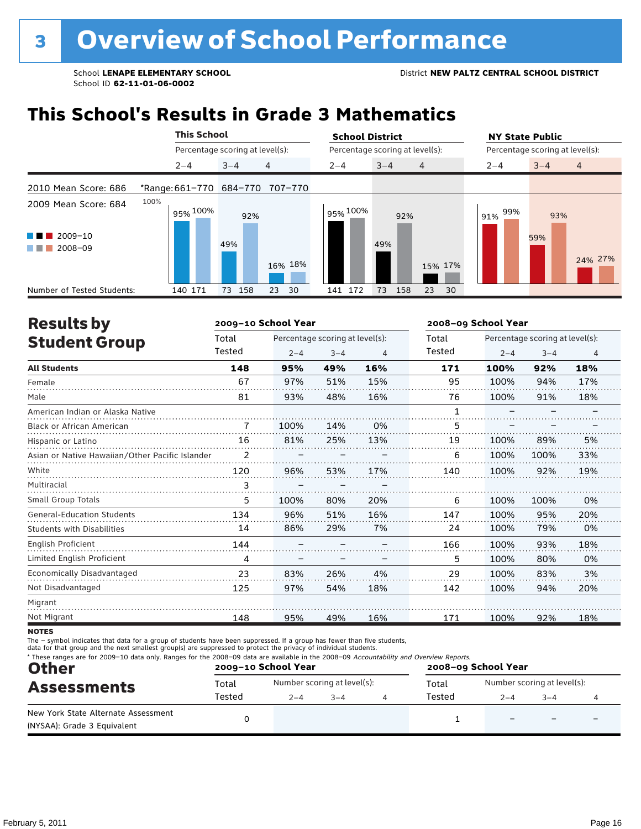### **This School's Results in Grade 3 Mathematics**

|                                                          | <b>This School</b>              |                                 |                | <b>School District</b> |                                 | <b>NY State Public</b> |                                 |  |  |  |
|----------------------------------------------------------|---------------------------------|---------------------------------|----------------|------------------------|---------------------------------|------------------------|---------------------------------|--|--|--|
|                                                          |                                 | Percentage scoring at level(s): |                |                        | Percentage scoring at level(s): |                        | Percentage scoring at level(s): |  |  |  |
|                                                          | $2 - 4$                         | $3 - 4$                         | $\overline{4}$ | $2 - 4$                | $3 - 4$<br>$\overline{4}$       | $2 - 4$                | $3 - 4$<br>$\overline{4}$       |  |  |  |
| 2010 Mean Score: 686                                     | *Range: 661-770 684-770 707-770 |                                 |                |                        |                                 |                        |                                 |  |  |  |
| 2009 Mean Score: 684<br>$2009 - 10$<br>a sa b<br>2008-09 | 100%<br>95% <sup>100%</sup>     | 92%<br>49%                      | 16% 18%        | 95% 100%               | 92%<br>49%<br>15% 17%           | 99%<br>91%             | 93%<br>59%<br>24% 27%           |  |  |  |
| Number of Tested Students:                               | 140 171                         | 158<br>73                       | 23<br>30       | 141 172                | 73<br>158<br>23                 | 30                     |                                 |  |  |  |

| <b>Results by</b>                               |        | 2009-10 School Year |                                 |                | 2008-09 School Year |         |                                 |     |  |  |
|-------------------------------------------------|--------|---------------------|---------------------------------|----------------|---------------------|---------|---------------------------------|-----|--|--|
| <b>Student Group</b>                            | Total  |                     | Percentage scoring at level(s): |                |                     |         | Percentage scoring at level(s): |     |  |  |
|                                                 | Tested | $2 - 4$             | $3 - 4$                         | $\overline{4}$ | Tested              | $2 - 4$ | $3 - 4$                         | 4   |  |  |
| <b>All Students</b>                             | 148    | 95%                 | 49%                             | 16%            | 171                 | 100%    | 92%                             | 18% |  |  |
| Female                                          | 67     | 97%                 | 51%                             | 15%            | 95                  | 100%    | 94%                             | 17% |  |  |
| Male                                            | 81     | 93%                 | 48%                             | 16%            | 76                  | 100%    | 91%                             | 18% |  |  |
| American Indian or Alaska Native                |        |                     |                                 |                | 1                   |         |                                 |     |  |  |
| <b>Black or African American</b>                | 7      | 100%                | 14%                             | 0%             | 5                   |         |                                 |     |  |  |
| Hispanic or Latino                              | 16     | 81%                 | 25%                             | 13%            | 19                  | 100%    | 89%                             | 5%  |  |  |
| Asian or Native Hawaiian/Other Pacific Islander | 2      |                     |                                 |                | 6                   | 100%    | 100%                            | 33% |  |  |
| White                                           | 120    | 96%                 | 53%                             | 17%            | 140                 | 100%    | 92%                             | 19% |  |  |
| Multiracial                                     | 3      |                     |                                 |                |                     |         |                                 |     |  |  |
| <b>Small Group Totals</b>                       | 5      | 100%                | 80%                             | 20%            | 6                   | 100%    | 100%                            | 0%  |  |  |
| <b>General-Education Students</b>               | 134    | 96%                 | 51%                             | 16%            | 147                 | 100%    | 95%                             | 20% |  |  |
| <b>Students with Disabilities</b>               | 14     | 86%                 | 29%                             | 7%             | 24                  | 100%    | 79%                             | 0%  |  |  |
| <b>English Proficient</b>                       | 144    |                     |                                 |                | 166                 | 100%    | 93%                             | 18% |  |  |
| Limited English Proficient                      | 4      |                     |                                 |                | 5                   | 100%    | 80%                             | 0%  |  |  |
| Economically Disadvantaged                      | 23     | 83%                 | 26%                             | 4%             | 29                  | 100%    | 83%                             | 3%  |  |  |
| Not Disadvantaged                               | 125    | 97%                 | 54%                             | 18%            | 142                 | 100%    | 94%                             | 20% |  |  |
| Migrant                                         |        |                     |                                 |                |                     |         |                                 |     |  |  |
|                                                 | 148    | 95%                 | 49%                             | 16%            | 171                 | 100%    | 92%                             | 18% |  |  |
| Not Migrant                                     |        |                     |                                 |                |                     |         |                                 |     |  |  |

**NOTES** 

The – symbol indicates that data for a group of students have been suppressed. If a group has fewer than five students,<br>data for that group and the next smallest group(s) are suppressed to protect the privacy of individual

| * These ranges are for 2009-10 data only. Ranges for the 2008-09 data are available in the 2008-09 Accountability and Overview Reports.<br><b>Other</b><br><b>Assessments</b> |                 | 2009-10 School Year |                                        | 2008-09 School Year |                 |         |                                        |  |
|-------------------------------------------------------------------------------------------------------------------------------------------------------------------------------|-----------------|---------------------|----------------------------------------|---------------------|-----------------|---------|----------------------------------------|--|
|                                                                                                                                                                               | Total<br>Tested | $2 - 4$             | Number scoring at level(s):<br>$3 - 4$ |                     | Total<br>Tested | $2 - 4$ | Number scoring at level(s):<br>$3 - 4$ |  |
| New York State Alternate Assessment<br>(NYSAA): Grade 3 Equivalent                                                                                                            |                 |                     |                                        |                     |                 |         |                                        |  |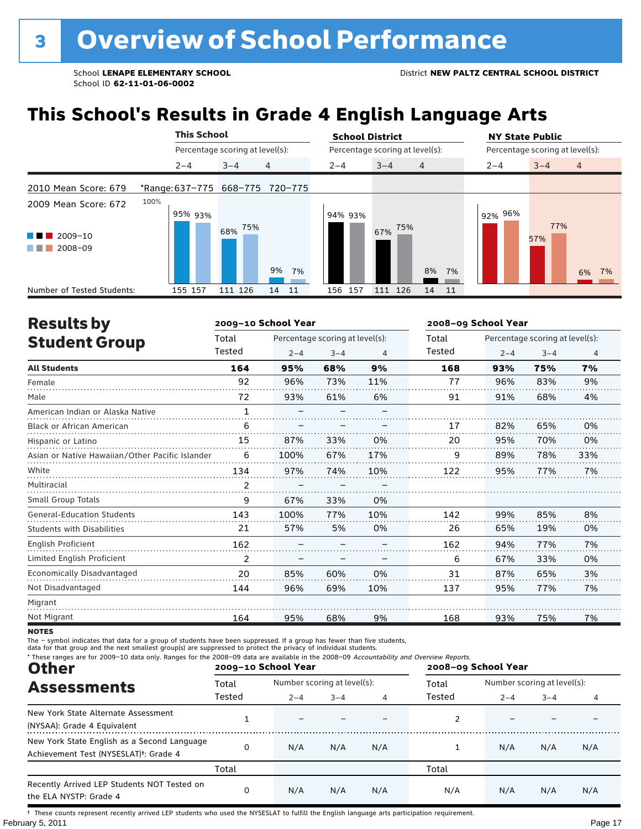## **This School's Results in Grade 4 English Language Arts**

|                                            | <b>This School</b>              |                                 |                | <b>School District</b> |                                 | <b>NY State Public</b> |                                 |
|--------------------------------------------|---------------------------------|---------------------------------|----------------|------------------------|---------------------------------|------------------------|---------------------------------|
|                                            |                                 | Percentage scoring at level(s): |                |                        | Percentage scoring at level(s): |                        | Percentage scoring at level(s): |
|                                            | $2 - 4$                         | $3 - 4$                         | $\overline{4}$ | $2 - 4$                | $3 - 4$<br>$\overline{4}$       | $2 - 4$                | $3 - 4$<br>$\overline{4}$       |
| 2010 Mean Score: 679                       | *Range: 637-775 668-775 720-775 |                                 |                |                        |                                 |                        |                                 |
| 2009 Mean Score: 672<br>2009-10<br>2008-09 | 100%<br>95% 93%                 | 75%<br>68%                      | 9%<br>7%       | 94% 93%                | 75%<br>67%<br>8%                | 92% 96%<br>7%          | 77%<br>57%<br>6% 7%             |
| Number of Tested Students:                 | 155 157                         | 111 126                         | 14<br>-11      | 156 157                | 14<br>11<br>111 126             |                        |                                 |

| <b>Results by</b>                               |              | 2009-10 School Year |                                 |     |        | 2008-09 School Year |                                 |                |
|-------------------------------------------------|--------------|---------------------|---------------------------------|-----|--------|---------------------|---------------------------------|----------------|
| <b>Student Group</b>                            | Total        |                     | Percentage scoring at level(s): |     | Total  |                     | Percentage scoring at level(s): |                |
|                                                 | Tested       | $2 - 4$             | $3 - 4$                         | 4   | Tested | $2 - 4$             | $3 - 4$                         | $\overline{4}$ |
| <b>All Students</b>                             | 164          | 95%                 | 68%                             | 9%  | 168    | 93%                 | 75%                             | 7%             |
| Female                                          | 92           | 96%                 | 73%                             | 11% | 77     | 96%                 | 83%                             | 9%             |
| Male                                            | 72           | 93%                 | 61%                             | 6%  | 91     | 91%                 | 68%                             | 4%             |
| American Indian or Alaska Native                | $\mathbf{1}$ |                     |                                 |     |        |                     |                                 |                |
| <b>Black or African American</b>                | 6            |                     |                                 |     | 17     | 82%                 | 65%                             | 0%             |
| Hispanic or Latino                              | 15           | 87%                 | 33%                             | 0%  | 20     | 95%                 | 70%                             | 0%             |
| Asian or Native Hawaiian/Other Pacific Islander | 6            | 100%                | 67%                             | 17% | 9      | 89%                 | 78%                             | 33%            |
| White                                           | 134          | 97%                 | 74%                             | 10% | 122    | 95%                 | 77%                             | 7%             |
| Multiracial                                     | 2            |                     |                                 |     |        |                     |                                 |                |
| <b>Small Group Totals</b>                       | 9            | 67%                 | 33%                             | 0%  |        |                     |                                 |                |
| <b>General-Education Students</b>               | 143          | 100%                | 77%                             | 10% | 142    | 99%                 | 85%                             | 8%             |
| <b>Students with Disabilities</b>               | 21           | 57%                 | 5%                              | 0%  | 26     | 65%                 | 19%                             | 0%             |
| English Proficient                              | 162          |                     |                                 |     | 162    | 94%                 | 77%                             | 7%             |
| Limited English Proficient                      | 2            |                     |                                 |     | 6      | 67%                 | 33%                             | 0%             |
| Economically Disadvantaged                      | 20           | 85%                 | 60%                             | 0%  | 31     | 87%                 | 65%                             | 3%             |
| Not Disadvantaged                               | 144          | 96%                 | 69%                             | 10% | 137    | 95%                 | 77%                             | 7%             |
| Migrant                                         |              |                     |                                 |     |        |                     |                                 |                |
| Not Migrant                                     | 164          | 95%                 | 68%                             | 9%  | 168    | 93%                 | 75%                             | 7%             |

**NOTES** 

The – symbol indicates that data for a group of students have been suppressed. If a group has fewer than five students,<br>data for that group and the next smallest group(s) are suppressed to protect the privacy of individual

| * These ranges are for 2009-10 data only. Ranges for the 2008-09 data are available in the 2008-09 Accountability and Overview Reports.<br><b>Other</b> |        | 2009-10 School Year         |         |     | 2008-09 School Year |                             |         |     |  |  |
|---------------------------------------------------------------------------------------------------------------------------------------------------------|--------|-----------------------------|---------|-----|---------------------|-----------------------------|---------|-----|--|--|
| <b>Assessments</b>                                                                                                                                      | Total  | Number scoring at level(s): |         |     | Total               | Number scoring at level(s): |         |     |  |  |
|                                                                                                                                                         | Tested | $2 - 4$                     | $3 - 4$ | 4   | Tested              | $2 - 4$                     | $3 - 4$ |     |  |  |
| New York State Alternate Assessment<br>(NYSAA): Grade 4 Equivalent                                                                                      |        |                             |         |     |                     |                             |         |     |  |  |
| New York State English as a Second Language<br>Achievement Test (NYSESLAT) <sup>t</sup> : Grade 4                                                       | 0      | N/A                         | N/A     | N/A |                     | N/A                         | N/A     | N/A |  |  |
|                                                                                                                                                         | Total  |                             |         |     | Total               |                             |         |     |  |  |
| Recently Arrived LEP Students NOT Tested on<br>the ELA NYSTP: Grade 4                                                                                   | 0      | N/A                         | N/A     | N/A | N/A                 | N/A                         | N/A     | N/A |  |  |

February 5, 2011 **Page 17** † These counts represent recently arrived LEP students who used the NYSESLAT to fulfill the English language arts participation requirement.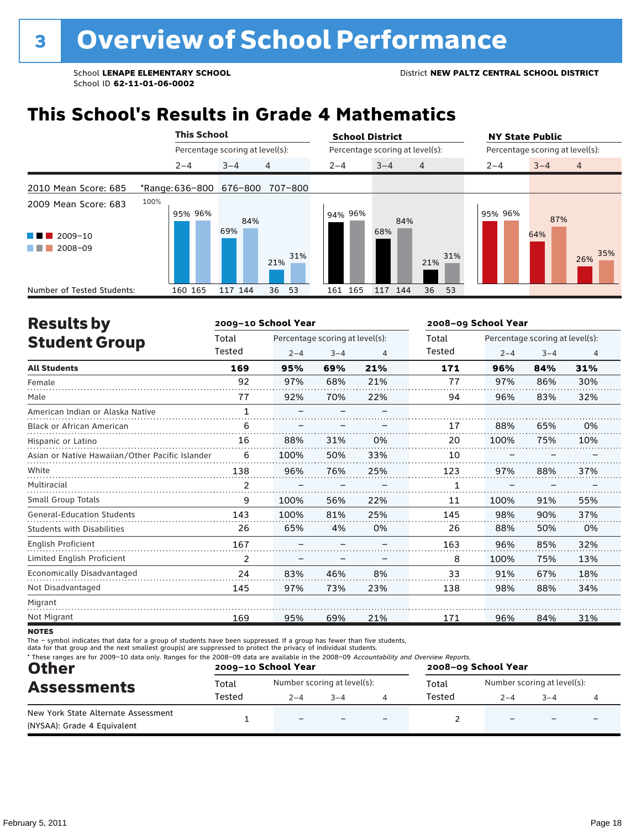### **This School's Results in Grade 4 Mathematics**

|                                                                                                        |                         | <b>This School</b> |                                 |            | <b>School District</b> |                                 |                | <b>NY State Public</b>          |            |                |  |
|--------------------------------------------------------------------------------------------------------|-------------------------|--------------------|---------------------------------|------------|------------------------|---------------------------------|----------------|---------------------------------|------------|----------------|--|
|                                                                                                        |                         |                    | Percentage scoring at level(s): |            |                        | Percentage scoring at level(s): |                | Percentage scoring at level(s): |            |                |  |
|                                                                                                        | $2 - 4$                 |                    | $3 - 4$                         | 4          | $2 - 4$                | $3 - 4$                         | $\overline{4}$ | $2 - 4$                         | $3 - 4$    | $\overline{4}$ |  |
| 2010 Mean Score: 685                                                                                   | *Range: 636-800 676-800 |                    |                                 | 707-800    |                        |                                 |                |                                 |            |                |  |
| 2009 Mean Score: 683<br>2009-10<br>a kacamatan ing Kabupatèn Kabupatèn<br>2008-09<br><b>The Common</b> | 100%                    | 95% 96%            | 84%<br>69%                      | 31%<br>21% | 94% 96%                | 84%<br>68%                      | 31%<br>21%     | 95% 96%                         | 87%<br>64% | 35%<br>26%     |  |
| Number of Tested Students:                                                                             | 160 165                 |                    | 117 144                         | 36<br>53   | 161 165                | 117 144                         | 36<br>53       |                                 |            |                |  |

| <b>Results by</b>                               |                | 2009-10 School Year |                                 |     |        | 2008-09 School Year |                                 |     |  |  |
|-------------------------------------------------|----------------|---------------------|---------------------------------|-----|--------|---------------------|---------------------------------|-----|--|--|
| <b>Student Group</b>                            | Total          |                     | Percentage scoring at level(s): |     | Total  |                     | Percentage scoring at level(s): |     |  |  |
|                                                 | Tested         | $2 - 4$             | $3 - 4$                         | 4   | Tested | $2 - 4$             | $3 - 4$                         | 4   |  |  |
| <b>All Students</b>                             | 169            | 95%                 | 69%                             | 21% | 171    | 96%                 | 84%                             | 31% |  |  |
| Female                                          | 92             | 97%                 | 68%                             | 21% | 77     | 97%                 | 86%                             | 30% |  |  |
| Male                                            | 77             | 92%                 | 70%                             | 22% | 94     | 96%                 | 83%                             | 32% |  |  |
| American Indian or Alaska Native                | $\mathbf{1}$   |                     |                                 |     |        |                     |                                 |     |  |  |
| <b>Black or African American</b>                | 6              |                     |                                 |     | 17     | 88%                 | 65%                             | 0%  |  |  |
| Hispanic or Latino                              | 16             | 88%                 | 31%                             | 0%  | 20     | 100%                | 75%                             | 10% |  |  |
| Asian or Native Hawaiian/Other Pacific Islander | 6              | 100%                | 50%                             | 33% | 10     |                     |                                 |     |  |  |
| White                                           | 138            | 96%                 | 76%                             | 25% | 123    | 97%                 | 88%                             | 37% |  |  |
| Multiracial                                     | $\overline{2}$ |                     |                                 |     | 1      |                     |                                 |     |  |  |
| <b>Small Group Totals</b>                       | 9              | 100%                | 56%                             | 22% | 11     | 100%                | 91%                             | 55% |  |  |
| <b>General-Education Students</b>               | 143            | 100%                | 81%                             | 25% | 145    | 98%                 | 90%                             | 37% |  |  |
| <b>Students with Disabilities</b>               | 26             | 65%                 | 4%                              | 0%  | 26     | 88%                 | 50%                             | 0%  |  |  |
| <b>English Proficient</b>                       | 167            |                     |                                 |     | 163    | 96%                 | 85%                             | 32% |  |  |
| Limited English Proficient                      | 2              |                     |                                 |     | 8      | 100%                | 75%                             | 13% |  |  |
| Economically Disadvantaged                      | 24             | 83%                 | 46%                             | 8%  | 33     | 91%                 | 67%                             | 18% |  |  |
| Not Disadvantaged                               | 145            | 97%                 | 73%                             | 23% | 138    | 98%                 | 88%                             | 34% |  |  |
| Migrant                                         |                |                     |                                 |     |        |                     |                                 |     |  |  |
| Not Migrant                                     | 169            | 95%                 | 69%                             | 21% | 171    | 96%                 | 84%                             | 31% |  |  |
|                                                 |                |                     |                                 |     |        |                     |                                 |     |  |  |

**NOTES** 

The – symbol indicates that data for a group of students have been suppressed. If a group has fewer than five students,<br>data for that group and the next smallest group(s) are suppressed to protect the privacy of individual

| <b>Other</b><br><b>Assessments</b>                                 |        | 2009-10 School Year         |         |  | * These ranges are for 2009-10 data only. Ranges for the 2008-09 data are available in the 2008-09 Accountability and Overview Reports.<br>2008-09 School Year |                             |        |  |
|--------------------------------------------------------------------|--------|-----------------------------|---------|--|----------------------------------------------------------------------------------------------------------------------------------------------------------------|-----------------------------|--------|--|
|                                                                    | Total  | Number scoring at level(s): |         |  | Total                                                                                                                                                          | Number scoring at level(s): |        |  |
|                                                                    | Tested | $2 - 4$                     | $3 - 4$ |  | Tested                                                                                                                                                         | $2 - 4$                     | $-3-4$ |  |
| New York State Alternate Assessment<br>(NYSAA): Grade 4 Equivalent |        | $\overline{\phantom{0}}$    |         |  |                                                                                                                                                                |                             |        |  |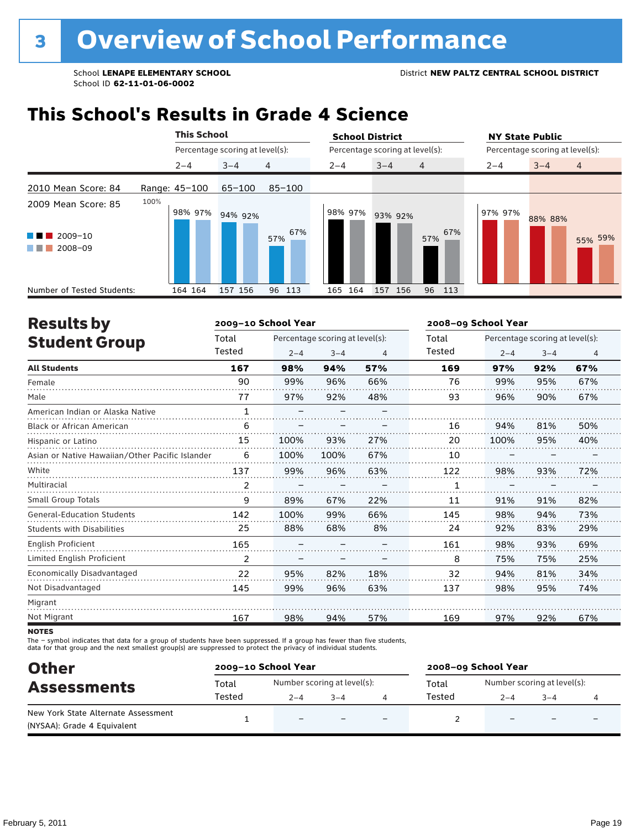### **This School's Results in Grade 4 Science**

|                                                                                   | <b>This School</b> |                                 |                | <b>School District</b> |                                 |                | <b>NY State Public</b>          |
|-----------------------------------------------------------------------------------|--------------------|---------------------------------|----------------|------------------------|---------------------------------|----------------|---------------------------------|
|                                                                                   |                    | Percentage scoring at level(s): |                |                        | Percentage scoring at level(s): |                | Percentage scoring at level(s): |
|                                                                                   | $2 - 4$            | $3 - 4$                         | $\overline{4}$ | $2 - 4$                | $3 - 4$<br>$\overline{4}$       | $2 - 4$        | $3 - 4$<br>$\overline{4}$       |
| 2010 Mean Score: 84                                                               | Range: 45-100      | $65 - 100$                      | $85 - 100$     |                        |                                 |                |                                 |
| 2009 Mean Score: 85<br>$2009 - 10$<br>a ka<br>2008-09<br><b>Contract Contract</b> | 100%               | 98% 97% 94% 92%                 | 67%<br>57%     | 98% 97%                | 93% 92%<br>57%                  | 97% 97%<br>67% | 88% 88%<br>55% 59%              |
| Number of Tested Students:                                                        | 164 164            | 157 156                         | 96 113         | 164<br>165             | 157 156<br>96 113               |                |                                 |

| <b>Results by</b>                               |                | 2009-10 School Year |                                 |     |        | 2008-09 School Year             |         |     |  |  |  |
|-------------------------------------------------|----------------|---------------------|---------------------------------|-----|--------|---------------------------------|---------|-----|--|--|--|
| <b>Student Group</b>                            | Total          |                     | Percentage scoring at level(s): |     | Total  | Percentage scoring at level(s): |         |     |  |  |  |
|                                                 | Tested         | $2 - 4$             | $3 - 4$                         | 4   | Tested | $2 - 4$                         | $3 - 4$ | 4   |  |  |  |
| <b>All Students</b>                             | 167            | 98%                 | 94%                             | 57% | 169    | 97%                             | 92%     | 67% |  |  |  |
| Female                                          | 90             | 99%                 | 96%                             | 66% | 76     | 99%                             | 95%     | 67% |  |  |  |
| Male                                            | 77             | 97%                 | 92%                             | 48% | 93     | 96%                             | 90%     | 67% |  |  |  |
| American Indian or Alaska Native                | $\mathbf{1}$   |                     |                                 |     |        |                                 |         |     |  |  |  |
| <b>Black or African American</b>                | 6              |                     |                                 |     | 16     | 94%                             | 81%     | 50% |  |  |  |
| Hispanic or Latino                              | 15             | 100%                | 93%                             | 27% | 20     | 100%                            | 95%     | 40% |  |  |  |
| Asian or Native Hawaiian/Other Pacific Islander | 6              | 100%                | 100%                            | 67% | 10     |                                 |         |     |  |  |  |
| White                                           | 137            | 99%                 | 96%                             | 63% | 122    | 98%                             | 93%     | 72% |  |  |  |
| Multiracial                                     | $\overline{2}$ |                     |                                 |     | 1      |                                 |         |     |  |  |  |
| <b>Small Group Totals</b>                       | 9              | 89%                 | 67%                             | 22% | 11     | 91%                             | 91%     | 82% |  |  |  |
| <b>General-Education Students</b>               | 142            | 100%                | 99%                             | 66% | 145    | 98%                             | 94%     | 73% |  |  |  |
| <b>Students with Disabilities</b>               | 25             | 88%                 | 68%                             | 8%  | 24     | 92%                             | 83%     | 29% |  |  |  |
| <b>English Proficient</b>                       | 165            |                     |                                 |     | 161    | 98%                             | 93%     | 69% |  |  |  |
| Limited English Proficient                      | 2              |                     |                                 |     | 8      | 75%                             | 75%     | 25% |  |  |  |
| Economically Disadvantaged                      | 22             | 95%                 | 82%                             | 18% | 32     | 94%                             | 81%     | 34% |  |  |  |
| Not Disadvantaged                               | 145            | 99%                 | 96%                             | 63% | 137    | 98%                             | 95%     | 74% |  |  |  |
| Migrant                                         |                |                     |                                 |     |        |                                 |         |     |  |  |  |
| Not Migrant                                     | 167            | 98%                 | 94%                             | 57% | 169    | 97%                             | 92%     | 67% |  |  |  |
|                                                 |                |                     |                                 |     |        |                                 |         |     |  |  |  |

**NOTES** 

The – symbol indicates that data for a group of students have been suppressed. If a group has fewer than five students,<br>data for that group and the next smallest group(s) are suppressed to protect the privacy of individual

| <b>Other</b><br><b>Assessments</b>                                 |        | 2009-10 School Year      | 2008-09 School Year         |   |        |                             |         |  |
|--------------------------------------------------------------------|--------|--------------------------|-----------------------------|---|--------|-----------------------------|---------|--|
|                                                                    | Total  |                          | Number scoring at level(s): |   | Total  | Number scoring at level(s): |         |  |
|                                                                    | Tested | $2 - 4$                  | $3 - 4$                     |   | Tested | $2 - 4$                     | $3 - 4$ |  |
| New York State Alternate Assessment<br>(NYSAA): Grade 4 Equivalent |        | $\overline{\phantom{0}}$ |                             | - |        |                             |         |  |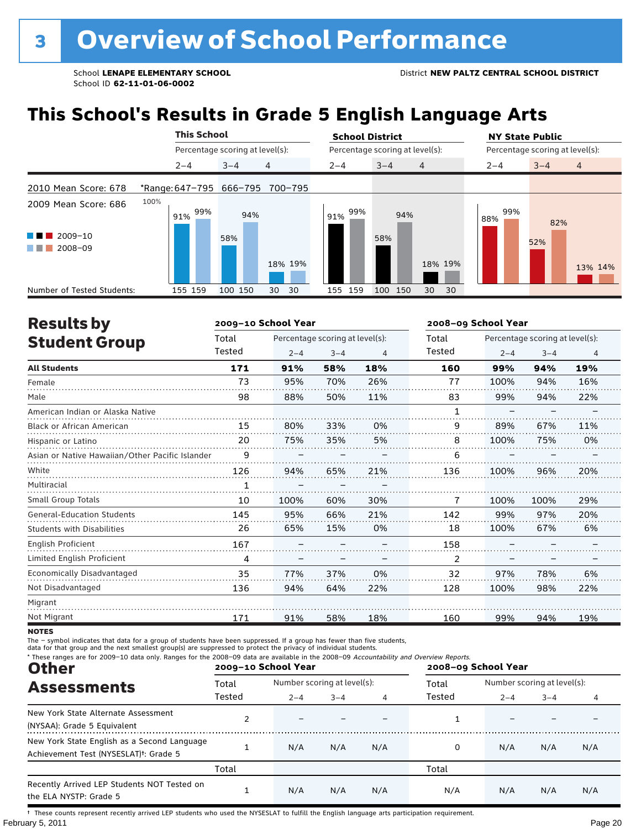## **This School's Results in Grade 5 English Language Arts**

|                                                |                                 | <b>This School</b> |                                 |          | <b>School District</b> |                                 |                | <b>NY State Public</b>          |         |                |  |
|------------------------------------------------|---------------------------------|--------------------|---------------------------------|----------|------------------------|---------------------------------|----------------|---------------------------------|---------|----------------|--|
|                                                |                                 |                    | Percentage scoring at level(s): |          |                        | Percentage scoring at level(s): |                | Percentage scoring at level(s): |         |                |  |
|                                                | $2 - 4$                         |                    | $3 - 4$                         | 4        | $2 - 4$                | $3 - 4$                         | $\overline{4}$ | $2 - 4$                         | $3 - 4$ | $\overline{4}$ |  |
| 2010 Mean Score: 678                           | *Range: 647-795 666-795 700-795 |                    |                                 |          |                        |                                 |                |                                 |         |                |  |
| 2009 Mean Score: 686                           | 100%<br>91%                     | 99%                | 94%                             |          | 99%<br>91%             | 94%                             |                | 99%<br>88%                      | 82%     |                |  |
| $2009 - 10$<br>a sa Tan<br>2008-09<br>a sa Tan |                                 |                    | 58%                             | 18% 19%  |                        | 58%                             | 18% 19%        |                                 | 52%     |                |  |
|                                                |                                 |                    |                                 |          |                        |                                 |                |                                 |         | 13% 14%        |  |
| Number of Tested Students:                     | 155 159                         |                    | 100 150                         | 30<br>30 | 159<br>155             | 100<br>150                      | 30<br>30       |                                 |         |                |  |

| <b>Results by</b>                               |        | 2009-10 School Year |                                 |     |        | 2008-09 School Year |                                 |                |  |  |
|-------------------------------------------------|--------|---------------------|---------------------------------|-----|--------|---------------------|---------------------------------|----------------|--|--|
| <b>Student Group</b>                            | Total  |                     | Percentage scoring at level(s): |     | Total  |                     | Percentage scoring at level(s): |                |  |  |
|                                                 | Tested | $2 - 4$             | $3 - 4$                         | 4   | Tested | $2 - 4$             | $3 - 4$                         | $\overline{4}$ |  |  |
| <b>All Students</b>                             | 171    | 91%                 | 58%                             | 18% | 160    | 99%                 | 94%                             | 19%            |  |  |
| Female                                          | 73     | 95%                 | 70%                             | 26% | 77     | 100%                | 94%                             | 16%            |  |  |
| Male                                            | 98     | 88%                 | 50%                             | 11% | 83     | 99%                 | 94%                             | 22%            |  |  |
| American Indian or Alaska Native                |        |                     |                                 |     | 1      |                     |                                 |                |  |  |
| <b>Black or African American</b>                | 15     | 80%                 | 33%                             | 0%  | 9      | 89%                 | 67%                             | 11%            |  |  |
| Hispanic or Latino                              | 20     | 75%                 | 35%                             | 5%  | 8      | 100%                | 75%                             | 0%             |  |  |
| Asian or Native Hawaiian/Other Pacific Islander | 9      |                     |                                 |     | 6      |                     |                                 |                |  |  |
| White                                           | 126    | 94%                 | 65%                             | 21% | 136    | 100%                | 96%                             | 20%            |  |  |
| Multiracial                                     |        |                     |                                 |     |        |                     |                                 |                |  |  |
| <b>Small Group Totals</b>                       | 10     | 100%                | 60%                             | 30% | 7      | 100%                | 100%                            | 29%            |  |  |
| <b>General-Education Students</b>               | 145    | 95%                 | 66%                             | 21% | 142    | 99%                 | 97%                             | 20%            |  |  |
| <b>Students with Disabilities</b>               | 26     | 65%                 | 15%                             | 0%  | 18     | 100%                | 67%                             | 6%             |  |  |
| English Proficient                              | 167    |                     |                                 |     | 158    |                     |                                 |                |  |  |
| Limited English Proficient                      | 4      |                     |                                 |     | 2      |                     |                                 |                |  |  |
| Economically Disadvantaged                      | 35     | 77%                 | 37%                             | 0%  | 32     | 97%                 | 78%                             | 6%             |  |  |
| Not Disadvantaged                               | 136    | 94%                 | 64%                             | 22% | 128    | 100%                | 98%                             | 22%            |  |  |
| Migrant                                         |        |                     |                                 |     |        |                     |                                 |                |  |  |
| Not Migrant                                     | 171    | 91%                 | 58%                             | 18% | 160    | 99%                 | 94%                             | 19%            |  |  |

**NOTES** 

The – symbol indicates that data for a group of students have been suppressed. If a group has fewer than five students,<br>data for that group and the next smallest group(s) are suppressed to protect the privacy of individual

| * These ranges are for 2009-10 data only. Ranges for the 2008-09 data are available in the 2008-09 Accountability and Overview Reports.<br><b>Other</b> |        | 2009-10 School Year         |         |     |        | 2008-09 School Year         |         |     |  |  |  |  |
|---------------------------------------------------------------------------------------------------------------------------------------------------------|--------|-----------------------------|---------|-----|--------|-----------------------------|---------|-----|--|--|--|--|
| <b>Assessments</b>                                                                                                                                      | Total  | Number scoring at level(s): |         |     | Total  | Number scoring at level(s): |         |     |  |  |  |  |
|                                                                                                                                                         | Tested | $2 - 4$                     | $3 - 4$ | 4   | Tested | $2 - 4$                     | $3 - 4$ |     |  |  |  |  |
| New York State Alternate Assessment<br>(NYSAA): Grade 5 Equivalent                                                                                      |        |                             |         |     |        |                             |         |     |  |  |  |  |
| New York State English as a Second Language<br>Achievement Test (NYSESLAT) <sup>t</sup> : Grade 5                                                       |        | N/A                         | N/A     | N/A |        | N/A                         | N/A     | N/A |  |  |  |  |
|                                                                                                                                                         | Total  |                             |         |     | Total  |                             |         |     |  |  |  |  |
| Recently Arrived LEP Students NOT Tested on<br>the ELA NYSTP: Grade 5                                                                                   |        | N/A                         | N/A     | N/A | N/A    | N/A                         | N/A     | N/A |  |  |  |  |

February 5, 2011 **Page 20** † These counts represent recently arrived LEP students who used the NYSESLAT to fulfill the English language arts participation requirement.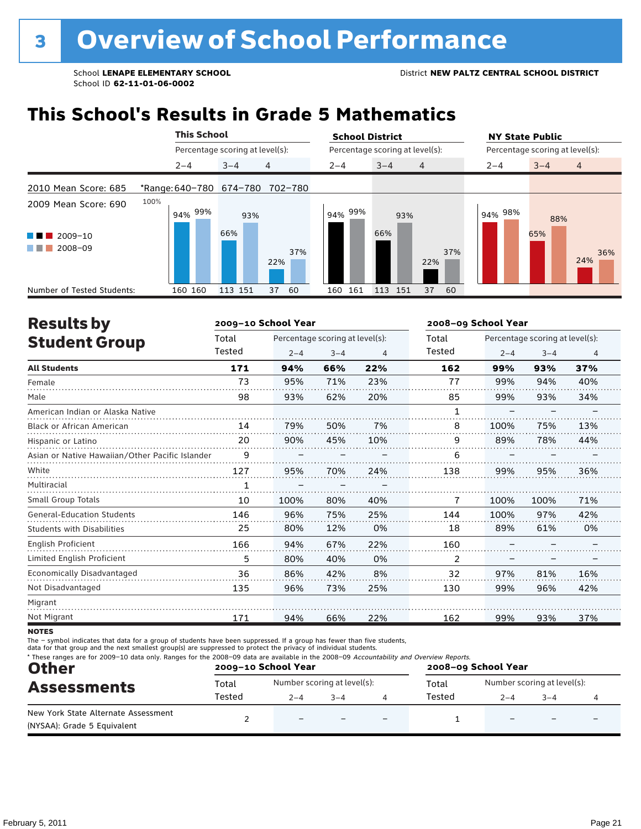### **This School's Results in Grade 5 Mathematics**

|                                                           | <b>This School</b>      |                                 | <b>School District</b> |                                 | <b>NY State Public</b>               |
|-----------------------------------------------------------|-------------------------|---------------------------------|------------------------|---------------------------------|--------------------------------------|
|                                                           |                         | Percentage scoring at level(s): |                        | Percentage scoring at level(s): | Percentage scoring at level(s):      |
|                                                           | $2 - 4$                 | 4<br>$3 - 4$                    | $2 - 4$                | $3 - 4$<br>$\overline{4}$       | $\overline{4}$<br>$3 - 4$<br>$2 - 4$ |
| 2010 Mean Score: 685                                      | *Range: 640-780 674-780 | 702-780                         |                        |                                 |                                      |
| 2009 Mean Score: 690<br>2009-10<br>a kacamatan<br>2008-09 | 100%<br>94% 99%         | 93%<br>66%<br>37%<br>22%        | 94% 99%                | 93%<br>66%<br>37%<br>22%        | 94% 98%<br>88%<br>65%<br>36%<br>24%  |
| Number of Tested Students:                                | 160 160                 | 113 151<br>60<br>37             | 161<br>160             | 113 151<br>37<br>60             |                                      |

| <b>Results by</b>                               |        | 2009-10 School Year |                                 |     |        | 2008-09 School Year |                                 |     |  |  |
|-------------------------------------------------|--------|---------------------|---------------------------------|-----|--------|---------------------|---------------------------------|-----|--|--|
| <b>Student Group</b>                            | Total  |                     | Percentage scoring at level(s): |     | Total  |                     | Percentage scoring at level(s): |     |  |  |
|                                                 | Tested | $2 - 4$             | $3 - 4$                         | 4   | Tested | $2 - 4$             | $3 - 4$                         | 4   |  |  |
| <b>All Students</b>                             | 171    | 94%                 | 66%                             | 22% | 162    | 99%                 | 93%                             | 37% |  |  |
| Female                                          | 73     | 95%                 | 71%                             | 23% | 77     | 99%                 | 94%                             | 40% |  |  |
| Male                                            | 98     | 93%                 | 62%                             | 20% | 85     | 99%                 | 93%                             | 34% |  |  |
| American Indian or Alaska Native                |        |                     |                                 |     | 1      |                     |                                 |     |  |  |
| <b>Black or African American</b>                | 14     | 79%                 | 50%                             | 7%  | 8      | 100%                | 75%                             | 13% |  |  |
| Hispanic or Latino                              | 20     | 90%                 | 45%                             | 10% | 9      | 89%                 | 78%                             | 44% |  |  |
| Asian or Native Hawaiian/Other Pacific Islander | 9      |                     |                                 |     | 6      |                     |                                 |     |  |  |
| White                                           | 127    | 95%                 | 70%                             | 24% | 138    | 99%                 | 95%                             | 36% |  |  |
| Multiracial                                     | 1      |                     |                                 |     |        |                     |                                 |     |  |  |
| <b>Small Group Totals</b>                       | 10     | 100%                | 80%                             | 40% | 7      | 100%                | 100%                            | 71% |  |  |
| <b>General-Education Students</b>               | 146    | 96%                 | 75%                             | 25% | 144    | 100%                | 97%                             | 42% |  |  |
| <b>Students with Disabilities</b>               | 25     | 80%                 | 12%                             | 0%  | 18     | 89%                 | 61%                             | 0%  |  |  |
| English Proficient                              | 166    | 94%                 | 67%                             | 22% | 160    |                     |                                 |     |  |  |
| Limited English Proficient                      | 5      | 80%                 | 40%                             | 0%  | 2      |                     |                                 |     |  |  |
| Economically Disadvantaged                      | 36     | 86%                 | 42%                             | 8%  | 32     | 97%                 | 81%                             | 16% |  |  |
| Not Disadvantaged                               | 135    | 96%                 | 73%                             | 25% | 130    | 99%                 | 96%                             | 42% |  |  |
| Migrant                                         |        |                     |                                 |     |        |                     |                                 |     |  |  |
| Not Migrant                                     | 171    | 94%                 | 66%                             | 22% | 162    | 99%                 | 93%                             | 37% |  |  |

**NOTES** 

The – symbol indicates that data for a group of students have been suppressed. If a group has fewer than five students,<br>data for that group and the next smallest group(s) are suppressed to protect the privacy of individual

| * These ranges are for 2009-10 data only. Ranges for the 2008-09 data are available in the 2008-09 Accountability and Overview Reports.<br><b>Other</b> |        | 2009-10 School Year         |         | 2008-09 School Year |         |                             |  |  |
|---------------------------------------------------------------------------------------------------------------------------------------------------------|--------|-----------------------------|---------|---------------------|---------|-----------------------------|--|--|
| <b>Assessments</b>                                                                                                                                      | Total  | Number scoring at level(s): |         | Total               |         | Number scoring at level(s): |  |  |
|                                                                                                                                                         | Tested | $2 - 4$                     | $3 - 4$ | Tested              | $2 - 4$ | $3 - 4$                     |  |  |
| New York State Alternate Assessment<br>(NYSAA): Grade 5 Equivalent                                                                                      |        | $\overline{\phantom{0}}$    |         |                     |         |                             |  |  |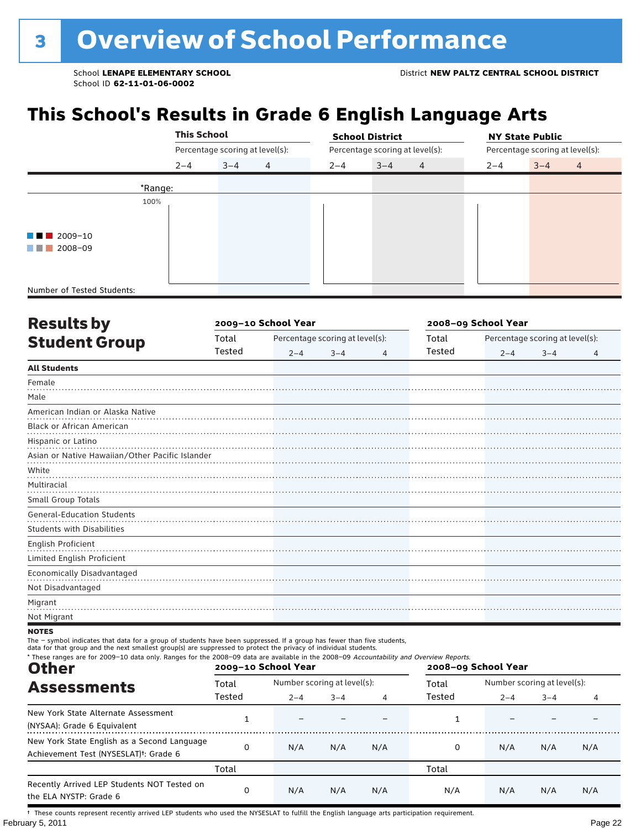### **This School's Results in Grade 6 English Language Arts**

|                                       | <b>This School</b> |                                 |                |         | <b>School District</b>          |   | <b>NY State Public</b> |                                 |                |  |  |
|---------------------------------------|--------------------|---------------------------------|----------------|---------|---------------------------------|---|------------------------|---------------------------------|----------------|--|--|
|                                       |                    | Percentage scoring at level(s): |                |         | Percentage scoring at level(s): |   |                        | Percentage scoring at level(s): |                |  |  |
|                                       | $2 - 4$            | $3 - 4$                         | $\overline{4}$ | $2 - 4$ | $3 - 4$                         | 4 | $2 - 4$                | $3 - 4$                         | $\overline{4}$ |  |  |
|                                       | *Range:            |                                 |                |         |                                 |   |                        |                                 |                |  |  |
|                                       | 100%               |                                 |                |         |                                 |   |                        |                                 |                |  |  |
|                                       |                    |                                 |                |         |                                 |   |                        |                                 |                |  |  |
| $\blacksquare$ $\blacksquare$ 2009-10 |                    |                                 |                |         |                                 |   |                        |                                 |                |  |  |
| 2008-09                               |                    |                                 |                |         |                                 |   |                        |                                 |                |  |  |
|                                       |                    |                                 |                |         |                                 |   |                        |                                 |                |  |  |
| Number of Tested Students:            |                    |                                 |                |         |                                 |   |                        |                                 |                |  |  |

| <b>Results by</b>                               |        | 2009-10 School Year |                                 | 2008-09 School Year |        |                                 |         |   |  |
|-------------------------------------------------|--------|---------------------|---------------------------------|---------------------|--------|---------------------------------|---------|---|--|
| <b>Student Group</b>                            | Total  |                     | Percentage scoring at level(s): |                     | Total  | Percentage scoring at level(s): |         |   |  |
|                                                 | Tested | $2 - 4$             | $3 - 4$                         | 4                   | Tested | $2 - 4$                         | $3 - 4$ | 4 |  |
| <b>All Students</b>                             |        |                     |                                 |                     |        |                                 |         |   |  |
| Female                                          |        |                     |                                 |                     |        |                                 |         |   |  |
| Male                                            |        |                     |                                 |                     |        |                                 |         |   |  |
| American Indian or Alaska Native                |        |                     |                                 |                     |        |                                 |         |   |  |
| Black or African American                       |        |                     |                                 |                     |        |                                 |         |   |  |
| Hispanic or Latino                              |        |                     |                                 |                     |        |                                 |         |   |  |
| Asian or Native Hawaiian/Other Pacific Islander |        |                     |                                 |                     |        |                                 |         |   |  |
| White                                           |        |                     |                                 |                     |        |                                 |         |   |  |
| Multiracial                                     |        |                     |                                 |                     |        |                                 |         |   |  |
| Small Group Totals                              |        |                     |                                 |                     |        |                                 |         |   |  |
| <b>General-Education Students</b>               |        |                     |                                 |                     |        |                                 |         |   |  |
| <b>Students with Disabilities</b>               |        |                     |                                 |                     |        |                                 |         |   |  |
| English Proficient                              |        |                     |                                 |                     |        |                                 |         |   |  |
| Limited English Proficient                      |        |                     |                                 |                     |        |                                 |         |   |  |
| Economically Disadvantaged                      |        |                     |                                 |                     |        |                                 |         |   |  |
| Not Disadvantaged                               |        |                     |                                 |                     |        |                                 |         |   |  |
| Migrant                                         |        |                     |                                 |                     |        |                                 |         |   |  |
| Not Migrant                                     |        |                     |                                 |                     |        |                                 |         |   |  |

#### **NOTES**

The – symbol indicates that data for a group of students have been suppressed. If a group has fewer than five students,<br>data for that group and the next smallest group(s) are suppressed to protect the privacy of individual

| * These ranges are for 2009-10 data only. Ranges for the 2008-09 data are available in the 2008-09 Accountability and Overview Reports.<br><b>Other</b> |        | 2009-10 School Year         |         |     | 2008-09 School Year |                             |         |     |  |
|---------------------------------------------------------------------------------------------------------------------------------------------------------|--------|-----------------------------|---------|-----|---------------------|-----------------------------|---------|-----|--|
| <b>Assessments</b>                                                                                                                                      | Total  | Number scoring at level(s): |         |     | Total               | Number scoring at level(s): |         |     |  |
|                                                                                                                                                         | Tested | $2 - 4$                     | $3 - 4$ | 4   | Tested              | $2 - 4$                     | $3 - 4$ | 4   |  |
| New York State Alternate Assessment<br>(NYSAA): Grade 6 Equivalent                                                                                      |        |                             |         |     |                     |                             |         |     |  |
| New York State English as a Second Language<br>Achievement Test (NYSESLAT) <sup>†</sup> : Grade 6                                                       | 0      | N/A                         | N/A     | N/A | 0                   | N/A                         | N/A     | N/A |  |
|                                                                                                                                                         | Total  |                             |         |     | Total               |                             |         |     |  |
| Recently Arrived LEP Students NOT Tested on<br>the ELA NYSTP: Grade 6                                                                                   | 0      | N/A                         | N/A     | N/A | N/A                 | N/A                         | N/A     | N/A |  |

February 5, 2011 **Page 22** † These counts represent recently arrived LEP students who used the NYSESLAT to fulfill the English language arts participation requirement.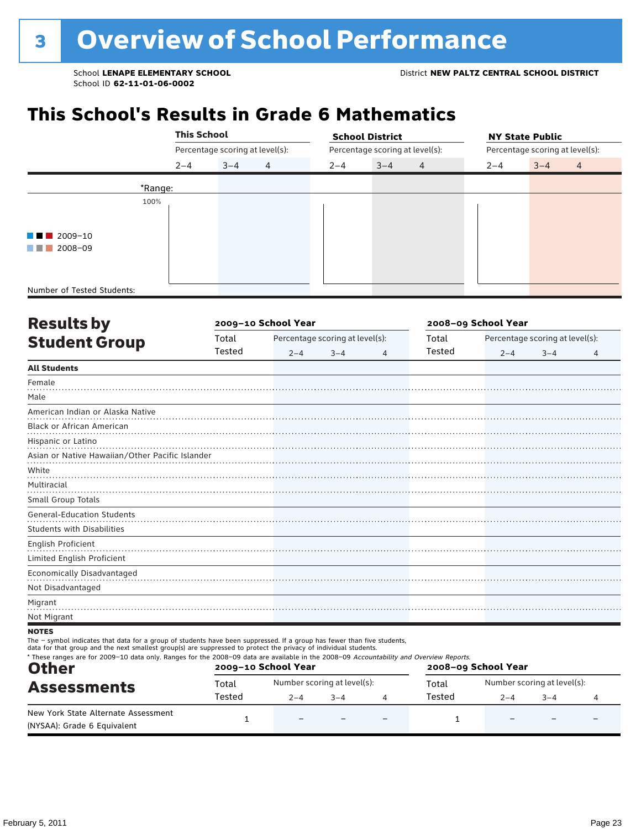### **This School's Results in Grade 6 Mathematics**

|                                       | <b>This School</b> |                                 |                |                                 | <b>School District</b> |                | <b>NY State Public</b>          |         |                |  |
|---------------------------------------|--------------------|---------------------------------|----------------|---------------------------------|------------------------|----------------|---------------------------------|---------|----------------|--|
|                                       |                    | Percentage scoring at level(s): |                | Percentage scoring at level(s): |                        |                | Percentage scoring at level(s): |         |                |  |
|                                       | $2 - 4$            | $3 - 4$                         | $\overline{4}$ | $2 - 4$                         | $3 - 4$                | $\overline{4}$ | $2 - 4$                         | $3 - 4$ | $\overline{4}$ |  |
|                                       | *Range:            |                                 |                |                                 |                        |                |                                 |         |                |  |
|                                       | 100%               |                                 |                |                                 |                        |                |                                 |         |                |  |
|                                       |                    |                                 |                |                                 |                        |                |                                 |         |                |  |
| $\blacksquare$ $\blacksquare$ 2009-10 |                    |                                 |                |                                 |                        |                |                                 |         |                |  |
| 2008-09<br><b>The Common</b>          |                    |                                 |                |                                 |                        |                |                                 |         |                |  |
|                                       |                    |                                 |                |                                 |                        |                |                                 |         |                |  |
|                                       |                    |                                 |                |                                 |                        |                |                                 |         |                |  |
| Number of Tested Students:            |                    |                                 |                |                                 |                        |                |                                 |         |                |  |

| <b>Results by</b>                               |        | 2009-10 School Year |                                 | 2008-09 School Year |        |         |                                 |   |
|-------------------------------------------------|--------|---------------------|---------------------------------|---------------------|--------|---------|---------------------------------|---|
| <b>Student Group</b>                            | Total  |                     | Percentage scoring at level(s): |                     | Total  |         | Percentage scoring at level(s): |   |
|                                                 | Tested | $2 - 4$             | $3 - 4$                         | 4                   | Tested | $2 - 4$ | $3 - 4$                         | 4 |
| <b>All Students</b>                             |        |                     |                                 |                     |        |         |                                 |   |
| Female                                          |        |                     |                                 |                     |        |         |                                 |   |
| Male                                            |        |                     |                                 |                     |        |         |                                 |   |
| American Indian or Alaska Native                |        |                     |                                 |                     |        |         |                                 |   |
| Black or African American                       |        |                     |                                 |                     |        |         |                                 |   |
| Hispanic or Latino                              |        |                     |                                 |                     |        |         |                                 |   |
| Asian or Native Hawaiian/Other Pacific Islander |        |                     |                                 |                     |        |         |                                 |   |
| White                                           |        |                     |                                 |                     |        |         |                                 |   |
| Multiracial                                     |        |                     |                                 |                     |        |         |                                 |   |
| Small Group Totals                              |        |                     |                                 |                     |        |         |                                 |   |
| <b>General-Education Students</b>               |        |                     |                                 |                     |        |         |                                 |   |
| <b>Students with Disabilities</b>               |        |                     |                                 |                     |        |         |                                 |   |
| English Proficient                              |        |                     |                                 |                     |        |         |                                 |   |
| Limited English Proficient                      |        |                     |                                 |                     |        |         |                                 |   |
| Economically Disadvantaged                      |        |                     |                                 |                     |        |         |                                 |   |
| Not Disadvantaged                               |        |                     |                                 |                     |        |         |                                 |   |
| Migrant                                         |        |                     |                                 |                     |        |         |                                 |   |
| Not Migrant                                     |        |                     |                                 |                     |        |         |                                 |   |
| <b>NOTES</b>                                    |        |                     |                                 |                     |        |         |                                 |   |

The – symbol indicates that data for a group of students have been suppressed. If a group has fewer than five students,

data for that group and the next smallest group(s) are suppressed to protect the privacy of individual students.

| * These ranges are for 2009-10 data only. Ranges for the 2008-09 data are available in the 2008-09 Accountability and Overview Reports.<br><b>Other</b><br><b>Assessments</b> |        | 2009-10 School Year         |         | 2008-09 School Year      |        |                             |      |  |  |
|-------------------------------------------------------------------------------------------------------------------------------------------------------------------------------|--------|-----------------------------|---------|--------------------------|--------|-----------------------------|------|--|--|
|                                                                                                                                                                               | Total  | Number scoring at level(s): |         |                          | Total  | Number scoring at level(s): |      |  |  |
|                                                                                                                                                                               | Tested | $2 - 4$                     | $3 - 4$ |                          | Tested | $2 - 4$                     | $-4$ |  |  |
| New York State Alternate Assessment<br>(NYSAA): Grade 6 Equivalent                                                                                                            |        | $\overline{\phantom{0}}$    |         | $\overline{\phantom{0}}$ |        |                             |      |  |  |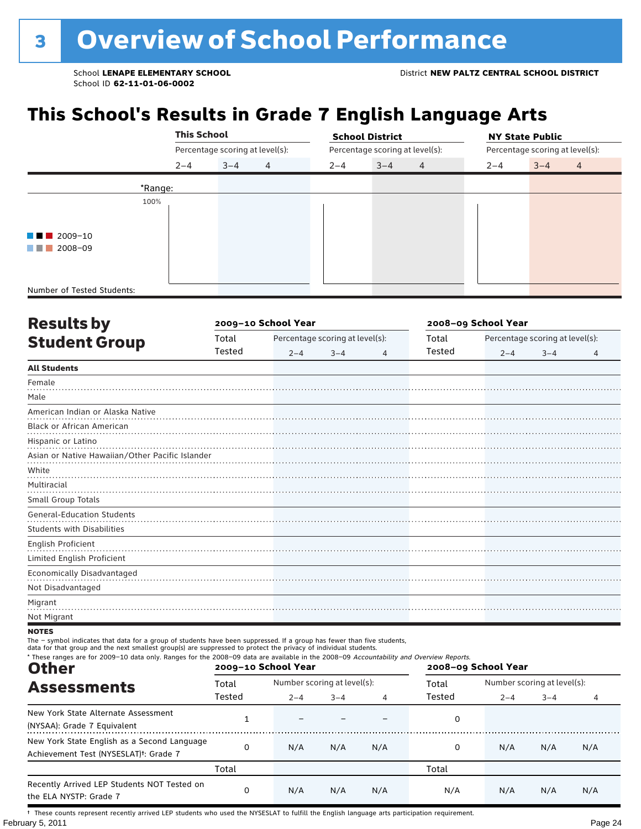### **This School's Results in Grade 7 English Language Arts**

|                            |         | <b>This School</b>              |                |         | <b>School District</b>          |         | <b>NY State Public</b>          |
|----------------------------|---------|---------------------------------|----------------|---------|---------------------------------|---------|---------------------------------|
|                            |         | Percentage scoring at level(s): |                |         | Percentage scoring at level(s): |         | Percentage scoring at level(s): |
|                            | $2 - 4$ | $3 - 4$                         | $\overline{4}$ | $2 - 4$ | $3 - 4$<br>$\overline{4}$       | $2 - 4$ | $3 - 4$<br>$\overline{4}$       |
|                            | *Range: |                                 |                |         |                                 |         |                                 |
|                            | 100%    |                                 |                |         |                                 |         |                                 |
|                            |         |                                 |                |         |                                 |         |                                 |
| $\blacksquare$ 2009-10     |         |                                 |                |         |                                 |         |                                 |
| 2008-09                    |         |                                 |                |         |                                 |         |                                 |
|                            |         |                                 |                |         |                                 |         |                                 |
|                            |         |                                 |                |         |                                 |         |                                 |
| Number of Tested Students: |         |                                 |                |         |                                 |         |                                 |

| <b>Results by</b>                               |        | 2009-10 School Year |                                 | 2008-09 School Year |        |                                 |         |   |  |
|-------------------------------------------------|--------|---------------------|---------------------------------|---------------------|--------|---------------------------------|---------|---|--|
| <b>Student Group</b>                            | Total  |                     | Percentage scoring at level(s): |                     | Total  | Percentage scoring at level(s): |         |   |  |
|                                                 | Tested | $2 - 4$             | $3 - 4$                         | 4                   | Tested | $2 - 4$                         | $3 - 4$ | 4 |  |
| <b>All Students</b>                             |        |                     |                                 |                     |        |                                 |         |   |  |
| Female                                          |        |                     |                                 |                     |        |                                 |         |   |  |
| Male                                            |        |                     |                                 |                     |        |                                 |         |   |  |
| American Indian or Alaska Native                |        |                     |                                 |                     |        |                                 |         |   |  |
| <b>Black or African American</b>                |        |                     |                                 |                     |        |                                 |         |   |  |
| Hispanic or Latino                              |        |                     |                                 |                     |        |                                 |         |   |  |
| Asian or Native Hawaiian/Other Pacific Islander |        |                     |                                 |                     |        |                                 |         |   |  |
| White                                           |        |                     |                                 |                     |        |                                 |         |   |  |
| Multiracial                                     |        |                     |                                 |                     |        |                                 |         |   |  |
| Small Group Totals                              |        |                     |                                 |                     |        |                                 |         |   |  |
| <b>General-Education Students</b>               |        |                     |                                 |                     |        |                                 |         |   |  |
| <b>Students with Disabilities</b>               |        |                     |                                 |                     |        |                                 |         |   |  |
| English Proficient                              |        |                     |                                 |                     |        |                                 |         |   |  |
| Limited English Proficient                      |        |                     |                                 |                     |        |                                 |         |   |  |
| <b>Economically Disadvantaged</b>               |        |                     |                                 |                     |        |                                 |         |   |  |
| Not Disadvantaged                               |        |                     |                                 |                     |        |                                 |         |   |  |
| Migrant                                         |        |                     |                                 |                     |        |                                 |         |   |  |
| Not Migrant                                     |        |                     |                                 |                     |        |                                 |         |   |  |

#### **NOTES**

The – symbol indicates that data for a group of students have been suppressed. If a group has fewer than five students,<br>data for that group and the next smallest group(s) are suppressed to protect the privacy of individual

| * These ranges are for 2009-10 data only. Ranges for the 2008-09 data are available in the 2008-09 Accountability and Overview Reports.<br><b>Other</b> |        | 2009-10 School Year         |         |     | 2008-09 School Year |                             |         |     |  |
|---------------------------------------------------------------------------------------------------------------------------------------------------------|--------|-----------------------------|---------|-----|---------------------|-----------------------------|---------|-----|--|
| <b>Assessments</b>                                                                                                                                      | Total  | Number scoring at level(s): |         |     | Total               | Number scoring at level(s): |         |     |  |
|                                                                                                                                                         | Tested | $2 - 4$                     | $3 - 4$ | 4   | Tested              | $2 - 4$                     | $3 - 4$ | 4   |  |
| New York State Alternate Assessment<br>(NYSAA): Grade 7 Equivalent                                                                                      |        |                             |         |     | 0                   |                             |         |     |  |
| New York State English as a Second Language<br>Achievement Test (NYSESLAT) <sup>t</sup> : Grade 7                                                       | 0      | N/A                         | N/A     | N/A | 0                   | N/A                         | N/A     | N/A |  |
|                                                                                                                                                         | Total  |                             |         |     | Total               |                             |         |     |  |
| Recently Arrived LEP Students NOT Tested on<br>the ELA NYSTP: Grade 7                                                                                   | 0      | N/A                         | N/A     | N/A | N/A                 | N/A                         | N/A     | N/A |  |

February 5, 2011 **Page 24** † These counts represent recently arrived LEP students who used the NYSESLAT to fulfill the English language arts participation requirement.